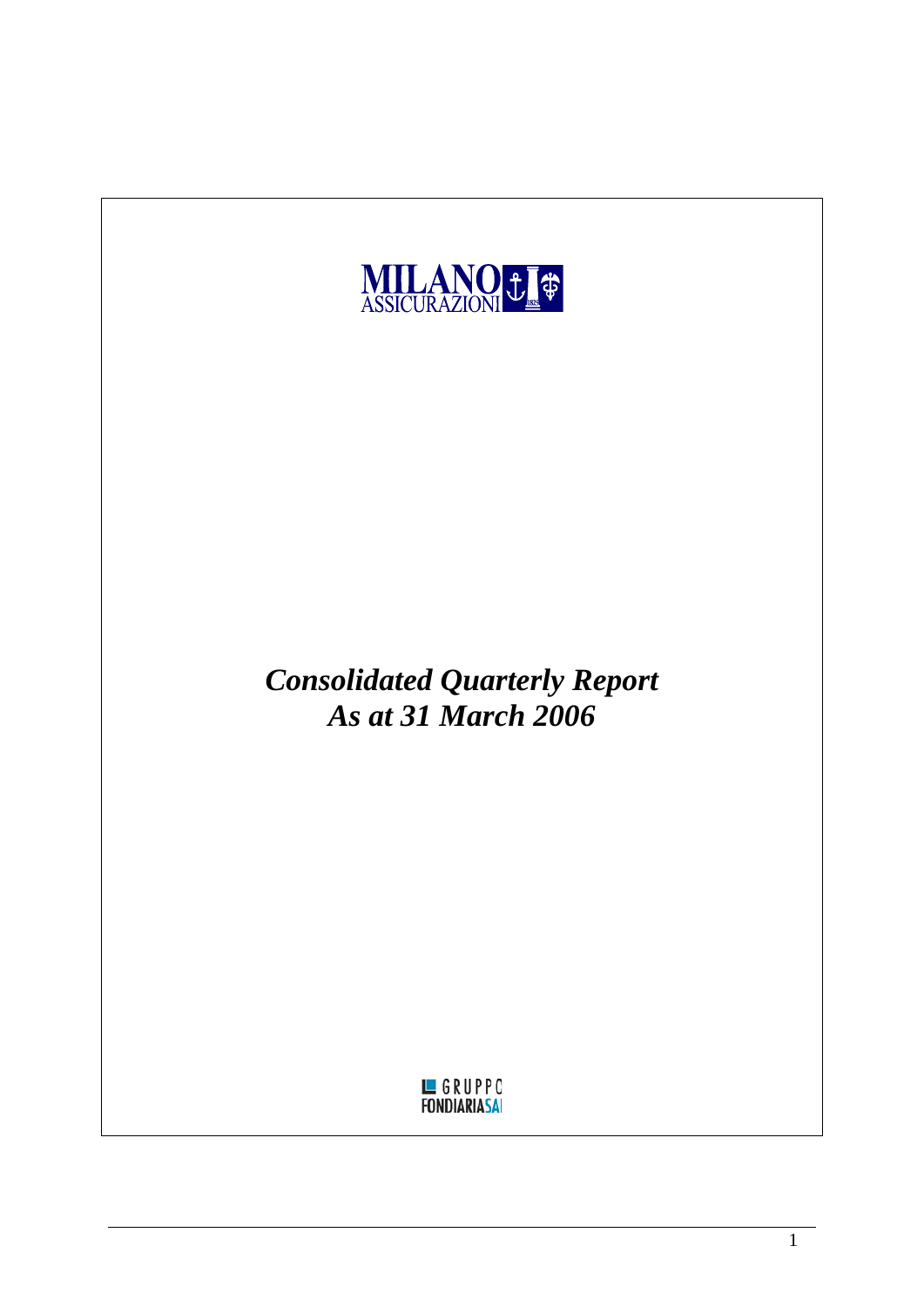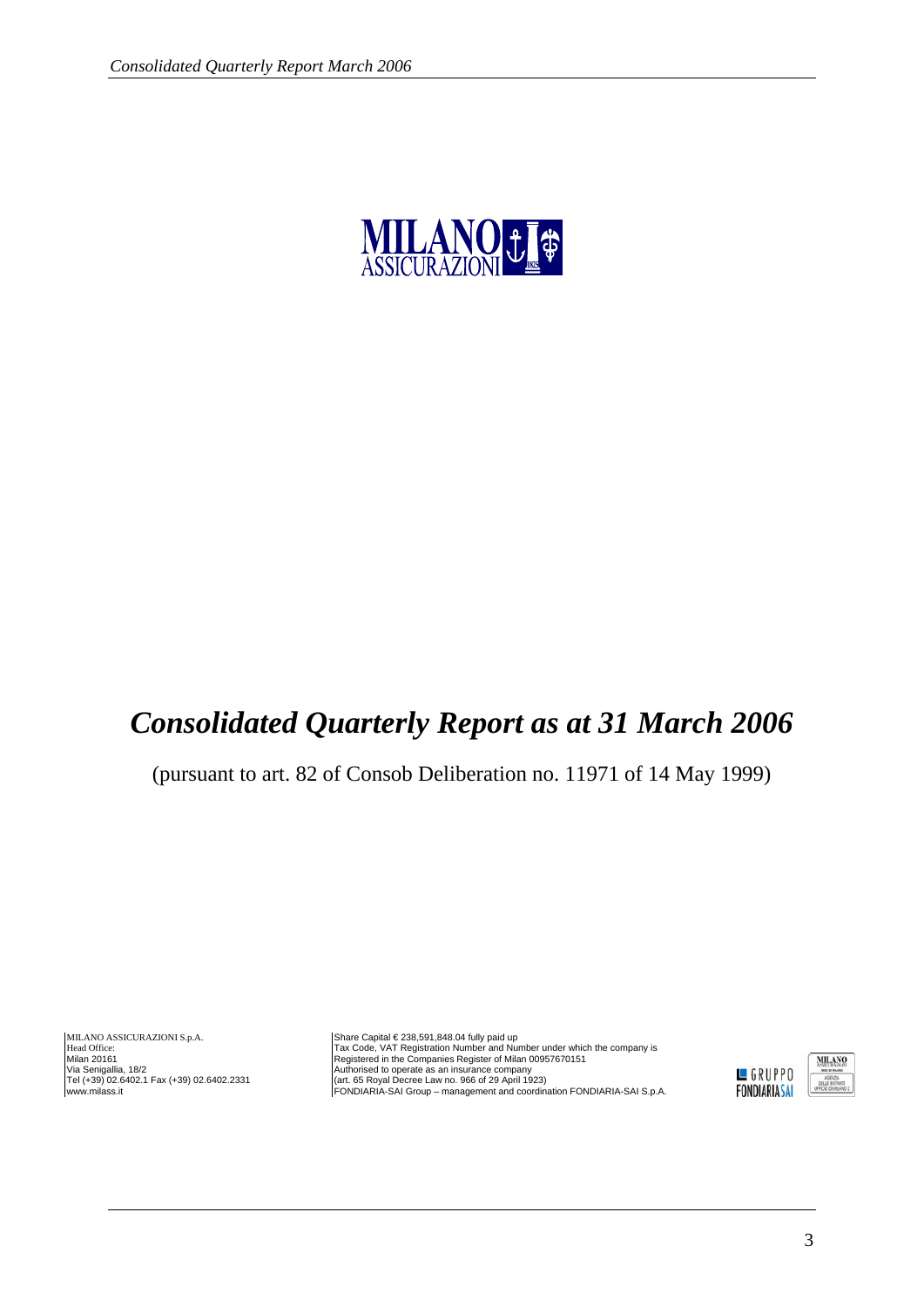

# *Consolidated Quarterly Report as at 31 March 2006*

(pursuant to art. 82 of Consob Deliberation no. 11971 of 14 May 1999)

MILANO ASSICURAZIONI S.p.A. Head Office: Milan 20161 Via Senigallia, 18/2 Tel (+39) 02.6402.1 Fax (+39) 02.6402.2331 www.milass.it

Share Capital € 238,591,848.04 fully paid up Tax Code, VAT Registration Number and Number under which the company is Registered in the Companies Register of Milan 00957670151 Authorised to operate as an insurance company<br>(art. 65 Royal Decree Law no. 966 of 29 April 1923)<br>FONDIARIA-SAI Group – management and coordination FONDIARIA-SAI S.p.A.

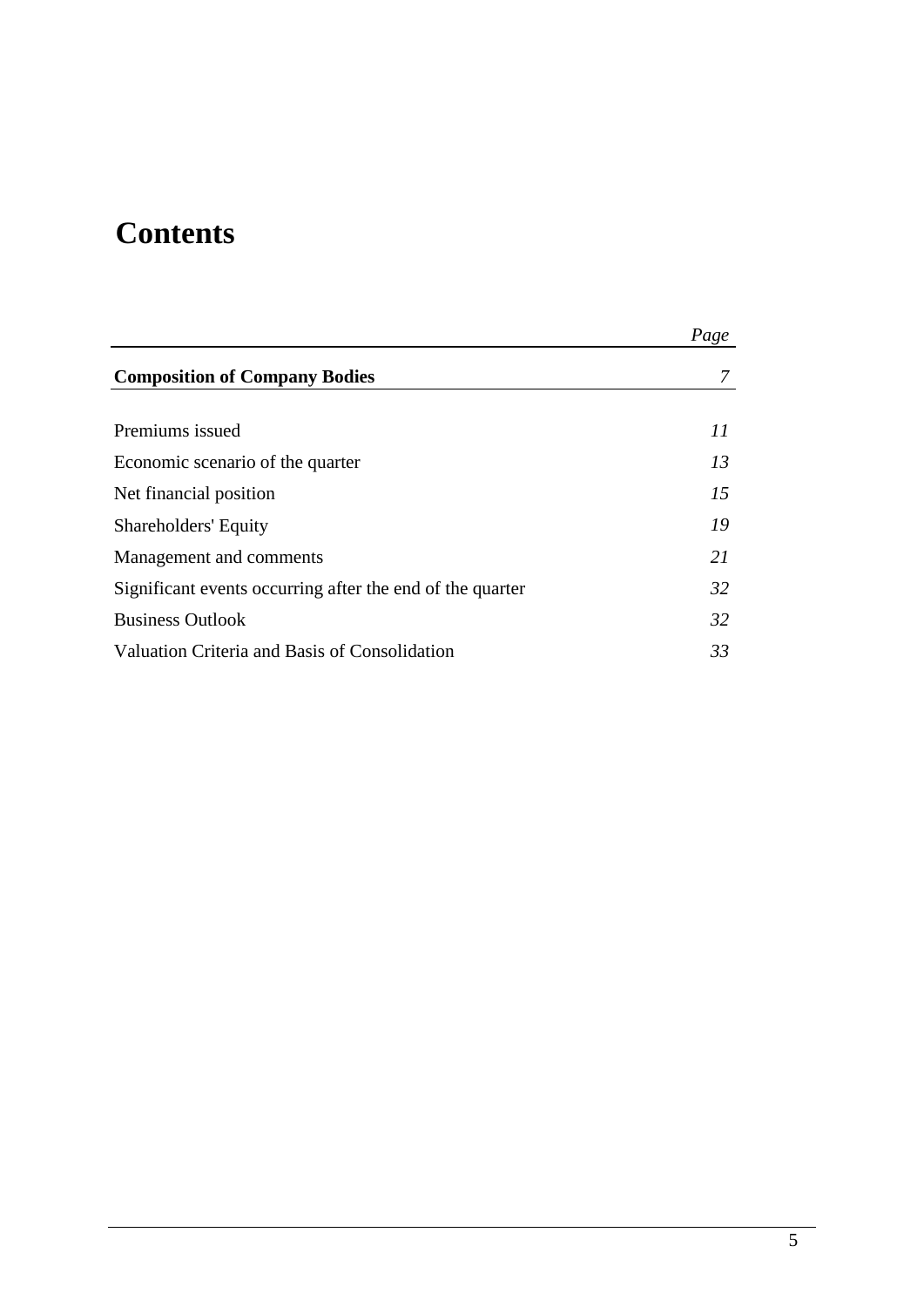# **Contents**

|                                                           | Page |
|-----------------------------------------------------------|------|
| <b>Composition of Company Bodies</b>                      | 7    |
|                                                           |      |
| Premiums issued                                           | 11   |
| Economic scenario of the quarter                          | 13   |
| Net financial position                                    | 15   |
| Shareholders' Equity                                      | 19   |
| Management and comments                                   | 21   |
| Significant events occurring after the end of the quarter | 32   |
| <b>Business Outlook</b>                                   | 32   |
| Valuation Criteria and Basis of Consolidation             | 33   |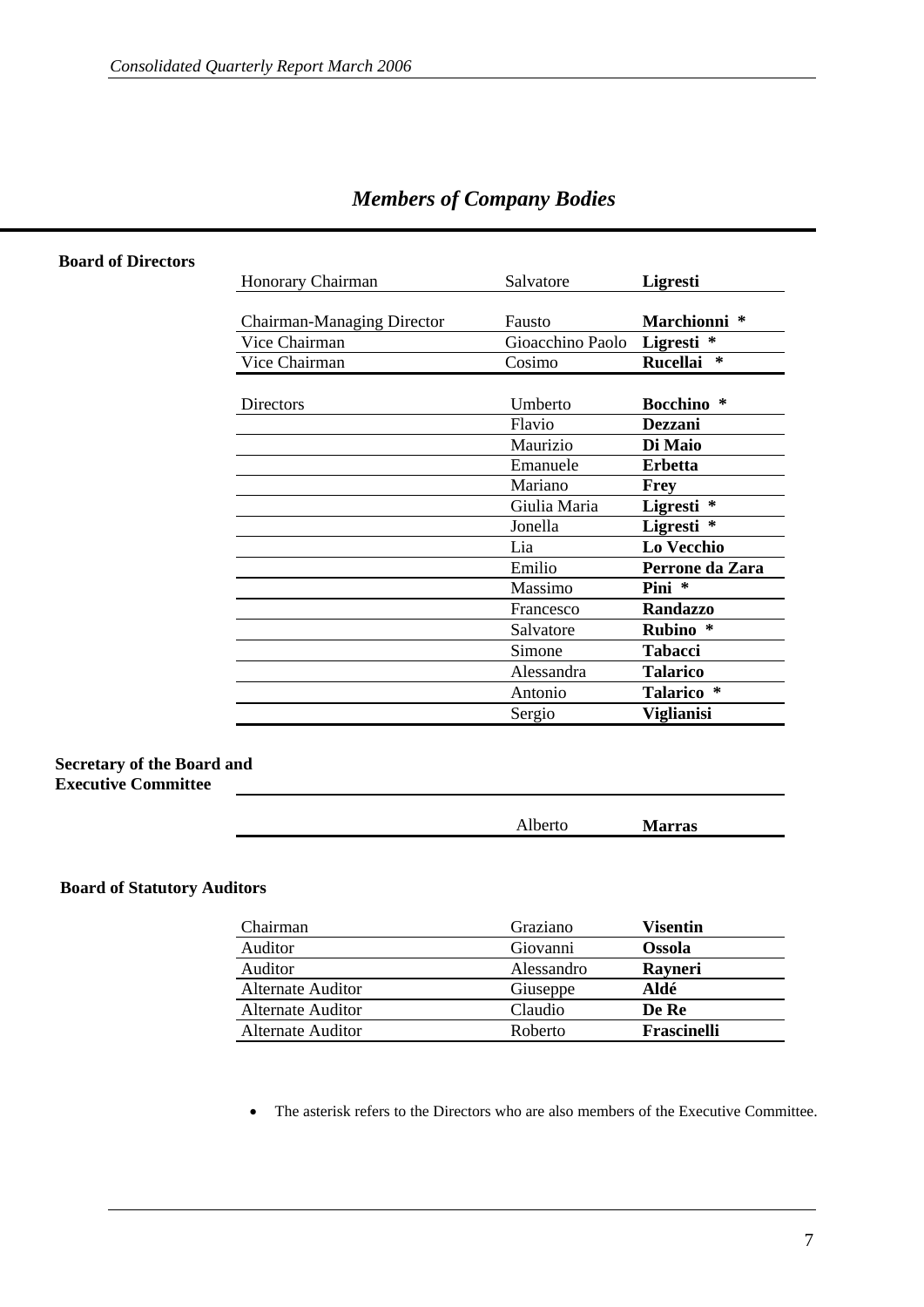|  |  |  | <b>Members of Company Bodies</b> |  |
|--|--|--|----------------------------------|--|
|--|--|--|----------------------------------|--|

| Honorary Chairman          | Salvatore        | Ligresti                  |
|----------------------------|------------------|---------------------------|
|                            |                  |                           |
| Chairman-Managing Director | Fausto           | Marchionni *              |
| Vice Chairman              | Gioacchino Paolo | Ligresti<br>∗             |
| Vice Chairman              | Cosimo           | <b>Rucellai</b><br>$\ast$ |
|                            |                  |                           |
| Directors                  | Umberto          | <b>Bocchino</b> *         |
|                            | Flavio           | Dezzani                   |
|                            | Maurizio         | Di Maio                   |
|                            | Emanuele         | <b>Erbetta</b>            |
|                            | Mariano          | Frey                      |
|                            | Giulia Maria     | Ligresti *                |
|                            | Jonella          | Ligresti *                |
|                            | Lia              | Lo Vecchio                |
|                            | Emilio           | Perrone da Zara           |
|                            | Massimo          | Pini *                    |
|                            | Francesco        | <b>Randazzo</b>           |
|                            | Salvatore        | <b>Rubino</b><br>∗        |
|                            | Simone           | <b>Tabacci</b>            |
|                            | Alessandra       | <b>Talarico</b>           |
|                            | Antonio          | Talarico *                |
|                            | Sergio           | <b>Viglianisi</b>         |

#### **Board of Directors**

#### **Secretary of the Board and Executive Committee**

| $\overline{\phantom{0}}$<br><b>AIVEN</b> | . .<br><b>Marras</b> |  |
|------------------------------------------|----------------------|--|
|                                          |                      |  |

#### **Board of Statutory Auditors**

| Chairman          | Graziano   | Visentin           |
|-------------------|------------|--------------------|
| Auditor           | Giovanni   | <b>Ossola</b>      |
| Auditor           | Alessandro | Rayneri            |
| Alternate Auditor | Giuseppe   | Aldé               |
| Alternate Auditor | Claudio    | De Re              |
| Alternate Auditor | Roberto    | <b>Frascinelli</b> |

• The asterisk refers to the Directors who are also members of the Executive Committee.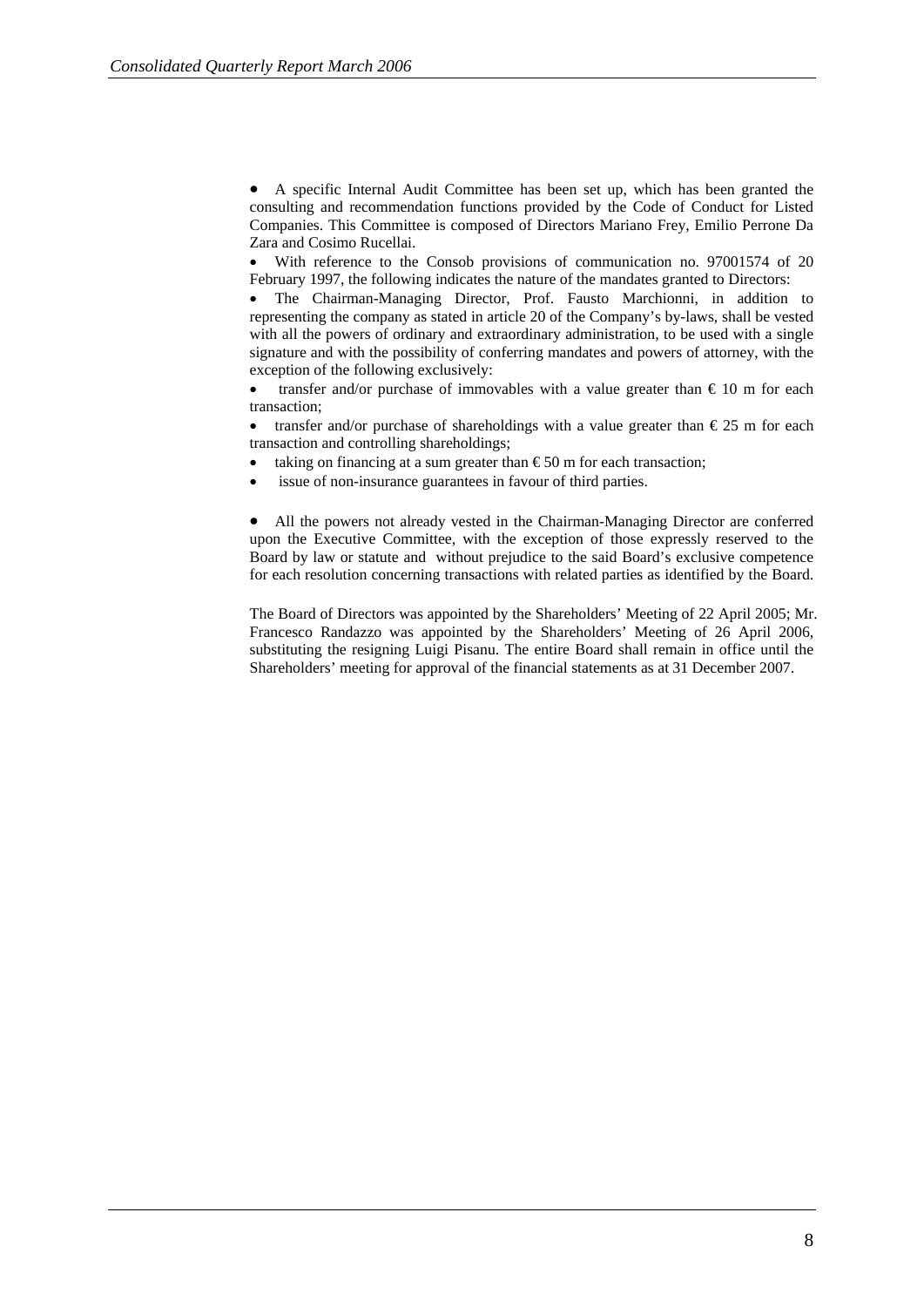• A specific Internal Audit Committee has been set up, which has been granted the consulting and recommendation functions provided by the Code of Conduct for Listed Companies. This Committee is composed of Directors Mariano Frey, Emilio Perrone Da Zara and Cosimo Rucellai.

With reference to the Consob provisions of communication no. 97001574 of 20 February 1997, the following indicates the nature of the mandates granted to Directors:

• The Chairman-Managing Director, Prof. Fausto Marchionni, in addition to representing the company as stated in article 20 of the Company's by-laws, shall be vested with all the powers of ordinary and extraordinary administration, to be used with a single signature and with the possibility of conferring mandates and powers of attorney, with the exception of the following exclusively:

transfer and/or purchase of immovables with a value greater than  $\epsilon$  10 m for each transaction;

transfer and/or purchase of shareholdings with a value greater than  $\epsilon$ 25 m for each transaction and controlling shareholdings;

- taking on financing at a sum greater than  $\epsilon$ 50 m for each transaction;
- issue of non-insurance guarantees in favour of third parties.

• All the powers not already vested in the Chairman-Managing Director are conferred upon the Executive Committee, with the exception of those expressly reserved to the Board by law or statute and without prejudice to the said Board's exclusive competence for each resolution concerning transactions with related parties as identified by the Board.

The Board of Directors was appointed by the Shareholders' Meeting of 22 April 2005; Mr. Francesco Randazzo was appointed by the Shareholders' Meeting of 26 April 2006, substituting the resigning Luigi Pisanu. The entire Board shall remain in office until the Shareholders' meeting for approval of the financial statements as at 31 December 2007.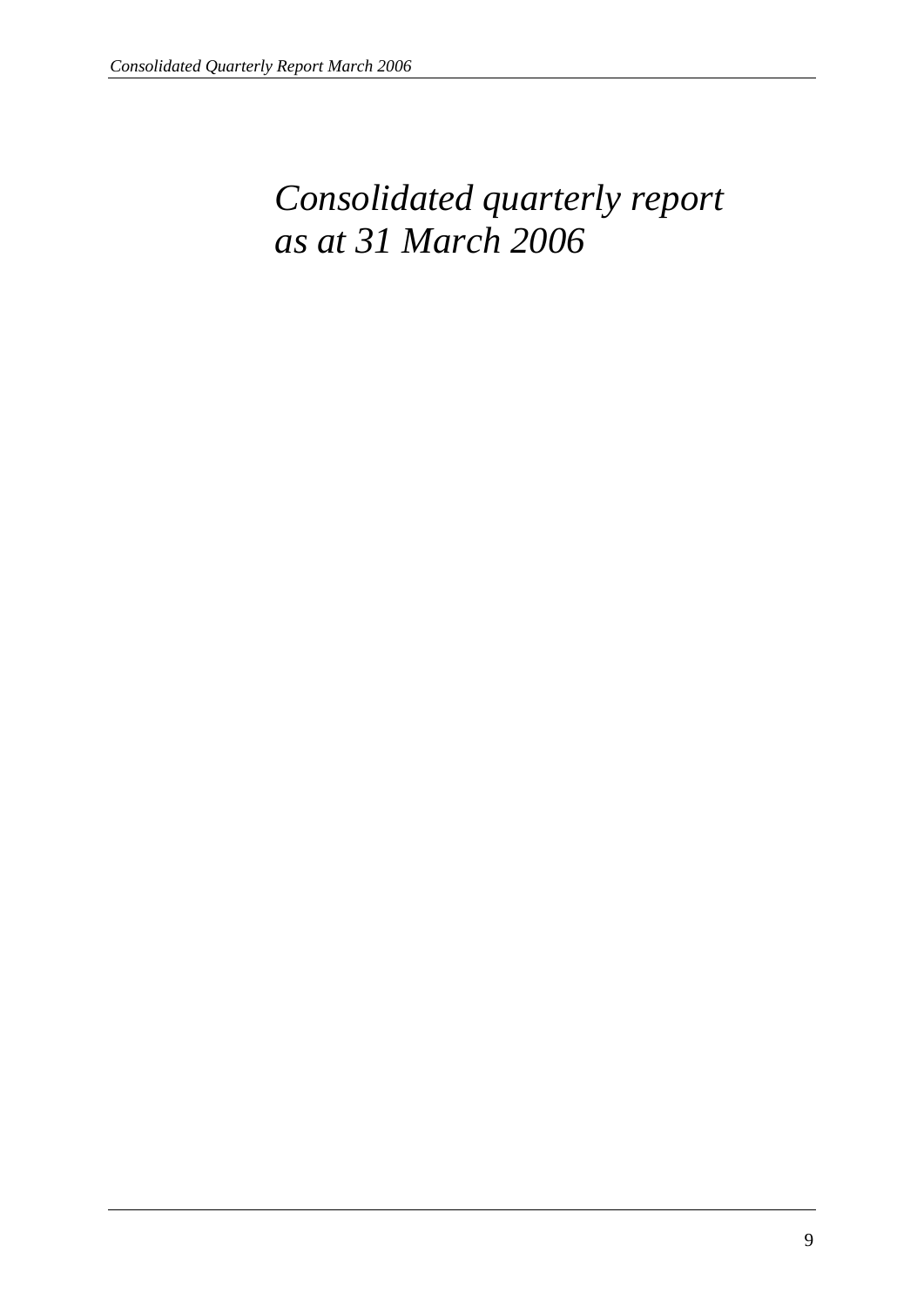# *Consolidated quarterly report as at 31 March 2006*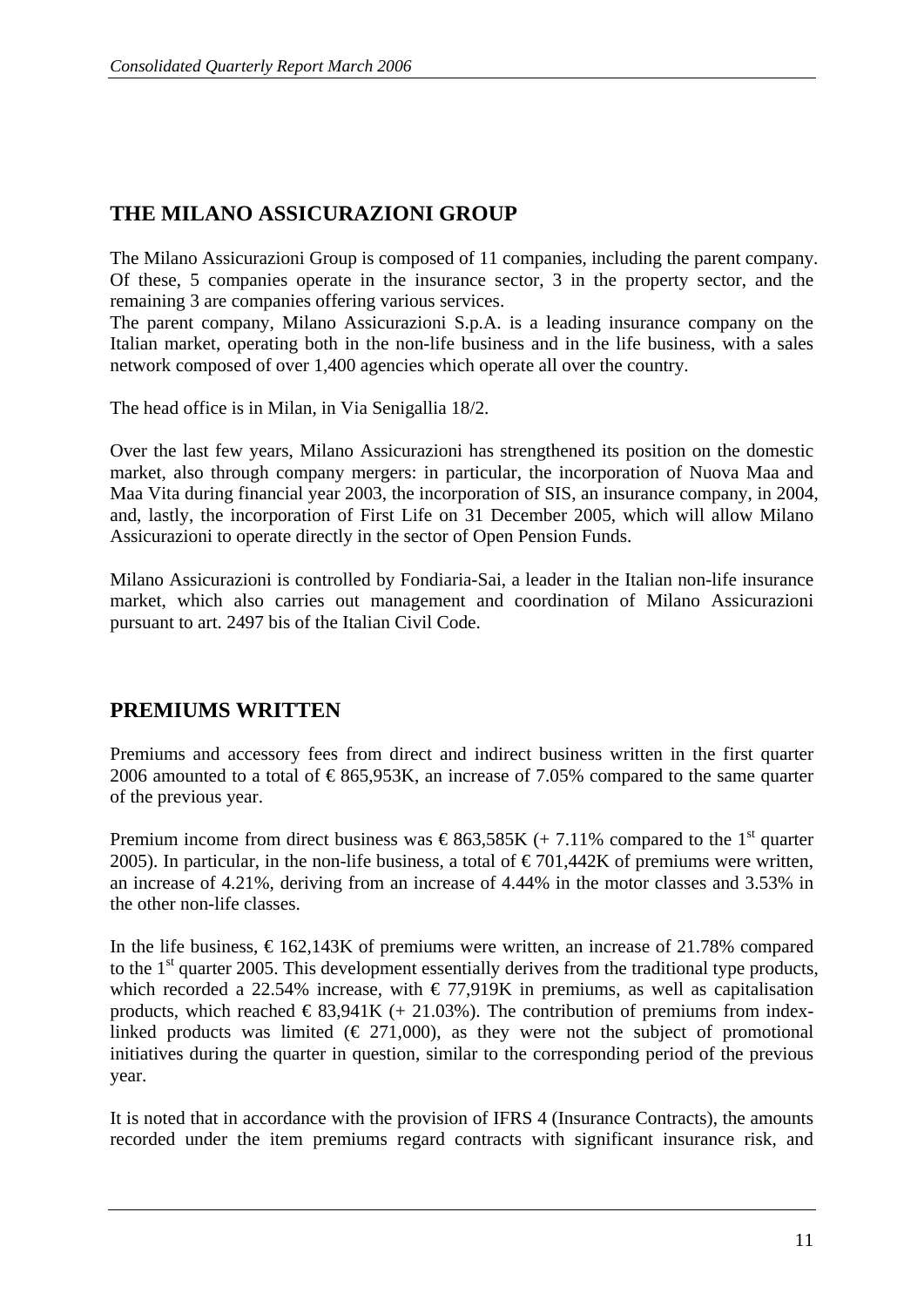## **THE MILANO ASSICURAZIONI GROUP**

The Milano Assicurazioni Group is composed of 11 companies, including the parent company. Of these, 5 companies operate in the insurance sector, 3 in the property sector, and the remaining 3 are companies offering various services.

The parent company, Milano Assicurazioni S.p.A. is a leading insurance company on the Italian market, operating both in the non-life business and in the life business, with a sales network composed of over 1,400 agencies which operate all over the country.

The head office is in Milan, in Via Senigallia 18/2.

Over the last few years, Milano Assicurazioni has strengthened its position on the domestic market, also through company mergers: in particular, the incorporation of Nuova Maa and Maa Vita during financial year 2003, the incorporation of SIS, an insurance company, in 2004, and, lastly, the incorporation of First Life on 31 December 2005, which will allow Milano Assicurazioni to operate directly in the sector of Open Pension Funds.

Milano Assicurazioni is controlled by Fondiaria-Sai, a leader in the Italian non-life insurance market, which also carries out management and coordination of Milano Assicurazioni pursuant to art. 2497 bis of the Italian Civil Code.

## **PREMIUMS WRITTEN**

Premiums and accessory fees from direct and indirect business written in the first quarter 2006 amounted to a total of  $\epsilon$ 865,953K, an increase of 7.05% compared to the same quarter of the previous year.

Premium income from direct business was  $\epsilon$ 863,585K (+ 7.11% compared to the 1<sup>st</sup> quarter 2005). In particular, in the non-life business, a total of  $\epsilon$  701,442K of premiums were written, an increase of 4.21%, deriving from an increase of 4.44% in the motor classes and 3.53% in the other non-life classes.

In the life business,  $\epsilon$ 162,143K of premiums were written, an increase of 21.78% compared to the 1<sup>st</sup> quarter 2005. This development essentially derives from the traditional type products, which recorded a 22.54% increase, with  $\epsilon$  77,919K in premiums, as well as capitalisation products, which reached  $\epsilon$ 83,941K (+ 21.03%). The contribution of premiums from indexlinked products was limited  $(\epsilon 271,000)$ , as they were not the subject of promotional initiatives during the quarter in question, similar to the corresponding period of the previous year.

It is noted that in accordance with the provision of IFRS 4 (Insurance Contracts), the amounts recorded under the item premiums regard contracts with significant insurance risk, and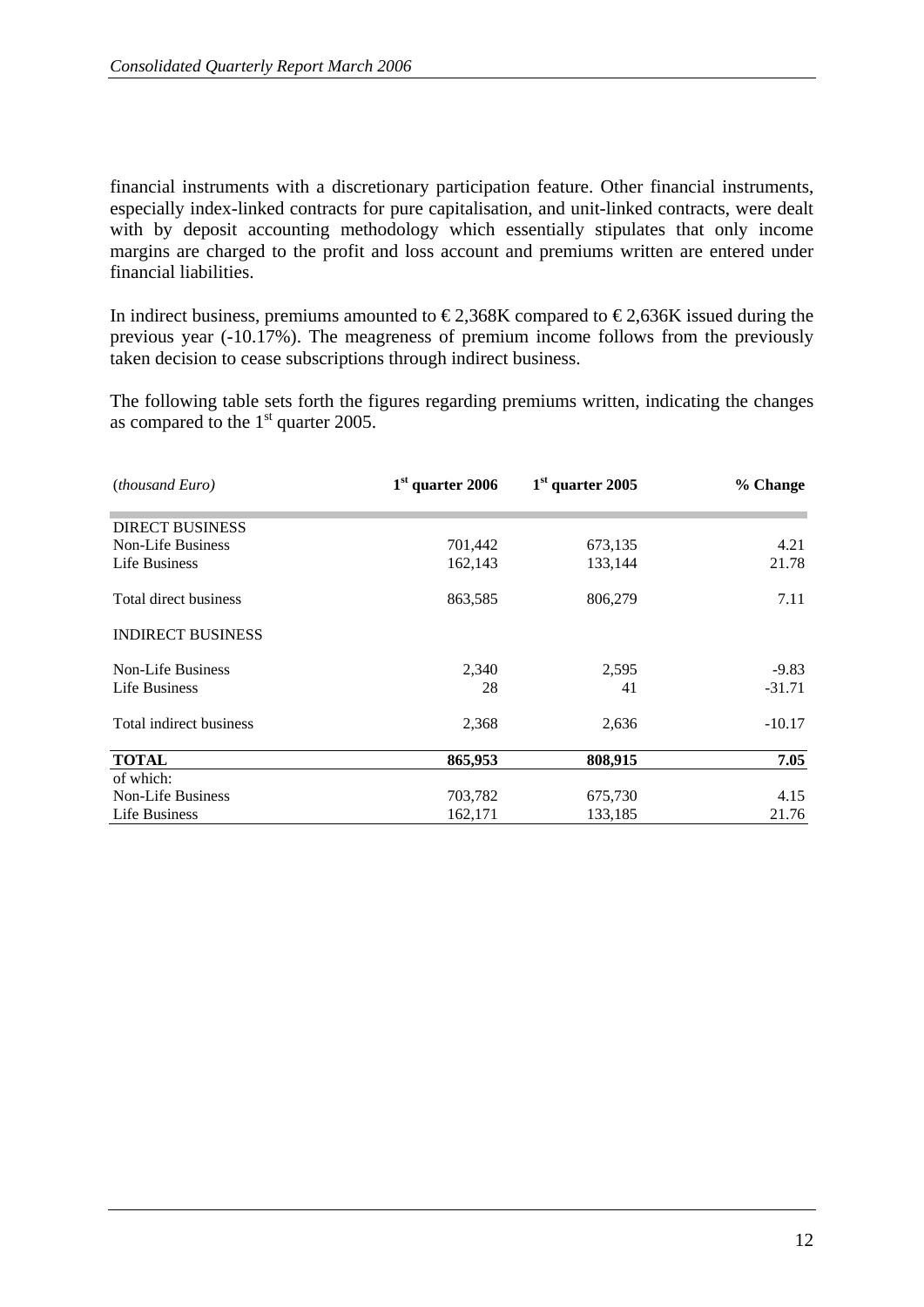financial instruments with a discretionary participation feature. Other financial instruments, especially index-linked contracts for pure capitalisation, and unit-linked contracts, were dealt with by deposit accounting methodology which essentially stipulates that only income margins are charged to the profit and loss account and premiums written are entered under financial liabilities.

In indirect business, premiums amounted to  $\epsilon$ 2,368K compared to  $\epsilon$ 2,636K issued during the previous year (-10.17%). The meagreness of premium income follows from the previously taken decision to cease subscriptions through indirect business.

The following table sets forth the figures regarding premiums written, indicating the changes as compared to the  $1<sup>st</sup>$  quarter 2005.

| <i>(thousand Euro)</i>   | $1st$ quarter 2006 | $1st$ quarter 2005 | % Change |
|--------------------------|--------------------|--------------------|----------|
| <b>DIRECT BUSINESS</b>   |                    |                    |          |
| <b>Non-Life Business</b> | 701,442            | 673,135            | 4.21     |
| Life Business            | 162,143            | 133,144            | 21.78    |
| Total direct business    | 863,585            | 806,279            | 7.11     |
| <b>INDIRECT BUSINESS</b> |                    |                    |          |
| <b>Non-Life Business</b> | 2,340              | 2,595              | $-9.83$  |
| Life Business            | 28                 | 41                 | $-31.71$ |
| Total indirect business  | 2,368              | 2,636              | $-10.17$ |
| <b>TOTAL</b>             | 865,953            | 808,915            | 7.05     |
| of which:                |                    |                    |          |
| <b>Non-Life Business</b> | 703,782            | 675,730            | 4.15     |
| Life Business            | 162,171            | 133,185            | 21.76    |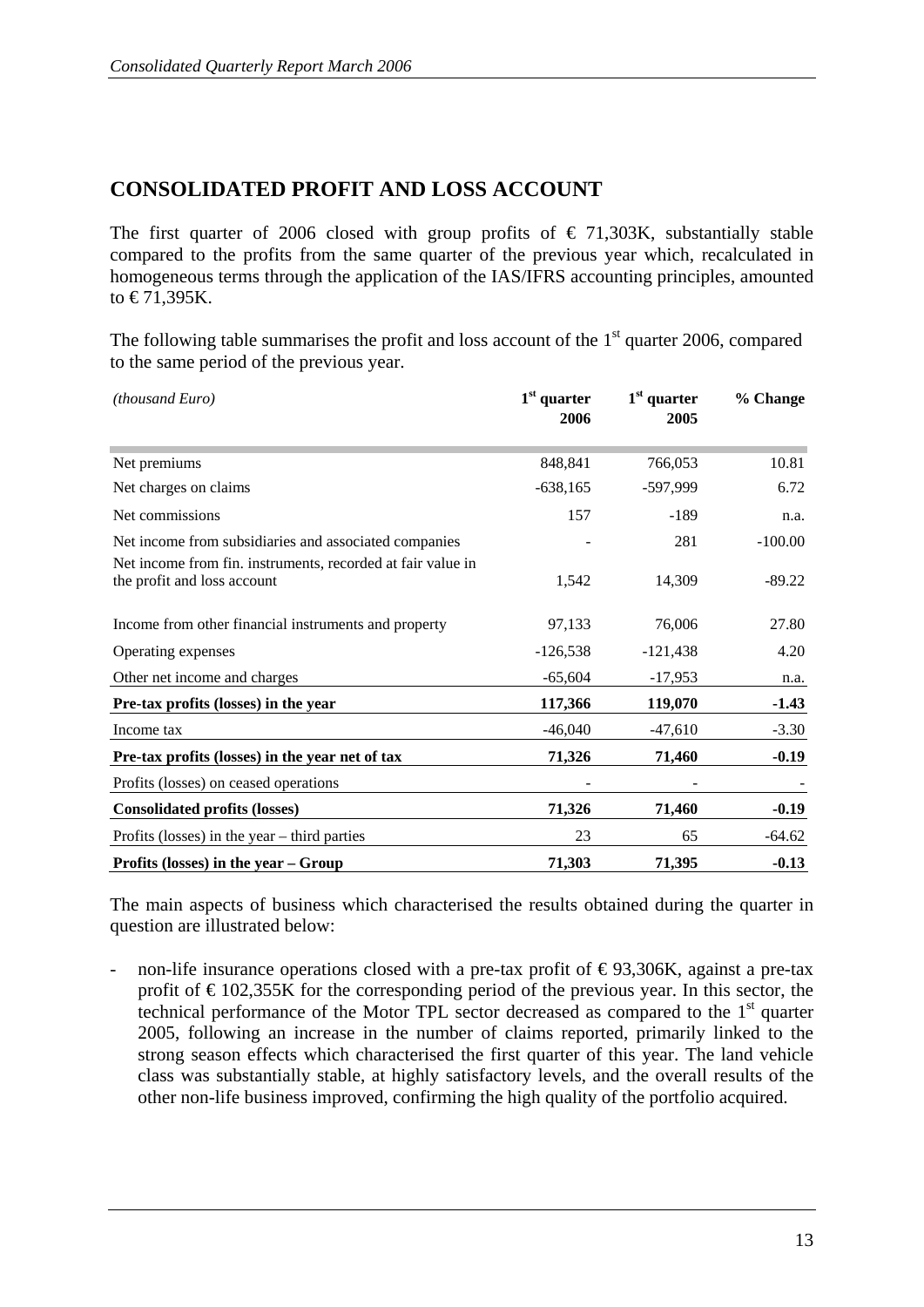## **CONSOLIDATED PROFIT AND LOSS ACCOUNT**

The first quarter of 2006 closed with group profits of  $\epsilon$  71,303K, substantially stable compared to the profits from the same quarter of the previous year which, recalculated in homogeneous terms through the application of the IAS/IFRS accounting principles, amounted to  $\text{\textsterling}71,395K$ .

The following table summarises the profit and loss account of the  $1<sup>st</sup>$  quarter 2006, compared to the same period of the previous year.

| (thousand Euro)                                                                            | $1st$ quarter<br>2006 | $1st$ quarter<br>2005 | % Change  |
|--------------------------------------------------------------------------------------------|-----------------------|-----------------------|-----------|
| Net premiums                                                                               | 848,841               | 766,053               | 10.81     |
| Net charges on claims                                                                      | $-638,165$            | -597,999              | 6.72      |
| Net commissions                                                                            | 157                   | $-189$                | n.a.      |
| Net income from subsidiaries and associated companies                                      |                       | 281                   | $-100.00$ |
| Net income from fin. instruments, recorded at fair value in<br>the profit and loss account | 1,542                 | 14,309                | $-89.22$  |
| Income from other financial instruments and property                                       | 97,133                | 76,006                | 27.80     |
| Operating expenses                                                                         | $-126,538$            | $-121,438$            | 4.20      |
| Other net income and charges                                                               | $-65,604$             | $-17,953$             | n.a.      |
| Pre-tax profits (losses) in the year                                                       | 117,366               | 119,070               | $-1.43$   |
| Income tax                                                                                 | $-46,040$             | $-47,610$             | $-3.30$   |
| Pre-tax profits (losses) in the year net of tax                                            | 71,326                | 71,460                | $-0.19$   |
| Profits (losses) on ceased operations                                                      |                       |                       |           |
| <b>Consolidated profits (losses)</b>                                                       | 71,326                | 71,460                | $-0.19$   |
| Profits (losses) in the year $-$ third parties                                             | 23                    | 65                    | $-64.62$  |
| Profits (losses) in the year $-$ Group                                                     | 71,303                | 71,395                | $-0.13$   |

The main aspects of business which characterised the results obtained during the quarter in question are illustrated below:

non-life insurance operations closed with a pre-tax profit of  $\epsilon$ 93,306K, against a pre-tax profit of  $\epsilon$  102,355K for the corresponding period of the previous year. In this sector, the technical performance of the Motor TPL sector decreased as compared to the 1st quarter 2005, following an increase in the number of claims reported, primarily linked to the strong season effects which characterised the first quarter of this year. The land vehicle class was substantially stable, at highly satisfactory levels, and the overall results of the other non-life business improved, confirming the high quality of the portfolio acquired.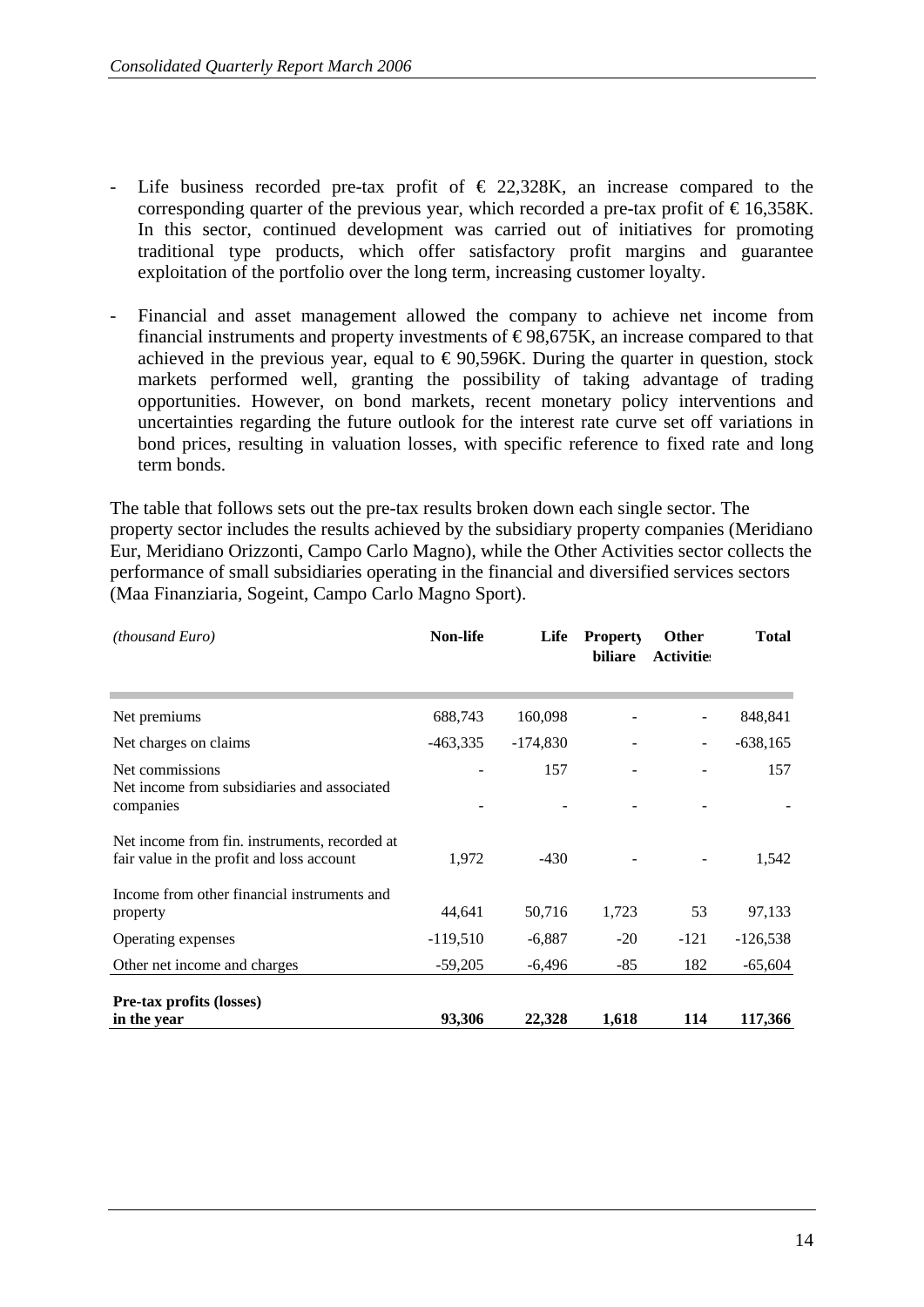- Life business recorded pre-tax profit of  $\epsilon$  22,328K, an increase compared to the corresponding quarter of the previous year, which recorded a pre-tax profit of  $\epsilon$ 16,358K. In this sector, continued development was carried out of initiatives for promoting traditional type products, which offer satisfactory profit margins and guarantee exploitation of the portfolio over the long term, increasing customer loyalty.
- Financial and asset management allowed the company to achieve net income from financial instruments and property investments of  $\epsilon$ 98,675K, an increase compared to that achieved in the previous year, equal to  $\epsilon$ 90,596K. During the quarter in question, stock markets performed well, granting the possibility of taking advantage of trading opportunities. However, on bond markets, recent monetary policy interventions and uncertainties regarding the future outlook for the interest rate curve set off variations in bond prices, resulting in valuation losses, with specific reference to fixed rate and long term bonds.

The table that follows sets out the pre-tax results broken down each single sector. The property sector includes the results achieved by the subsidiary property companies (Meridiano Eur, Meridiano Orizzonti, Campo Carlo Magno), while the Other Activities sector collects the performance of small subsidiaries operating in the financial and diversified services sectors (Maa Finanziaria, Sogeint, Campo Carlo Magno Sport).

| <i>(thousand Euro)</i>                                                                     | <b>Non-life</b> | Life       | <b>Property</b><br>biliare | <b>Other</b><br><b>Activities</b> | <b>Total</b> |
|--------------------------------------------------------------------------------------------|-----------------|------------|----------------------------|-----------------------------------|--------------|
|                                                                                            |                 |            |                            |                                   |              |
| Net premiums                                                                               | 688,743         | 160,098    |                            |                                   | 848,841      |
| Net charges on claims                                                                      | $-463,335$      | $-174,830$ |                            |                                   | -638,165     |
| Net commissions                                                                            |                 | 157        |                            |                                   | 157          |
| Net income from subsidiaries and associated<br>companies                                   |                 |            |                            |                                   |              |
| Net income from fin. instruments, recorded at<br>fair value in the profit and loss account | 1,972           | $-430$     |                            |                                   | 1,542        |
| Income from other financial instruments and                                                |                 |            |                            |                                   |              |
| property                                                                                   | 44,641          | 50,716     | 1,723                      | 53                                | 97,133       |
| Operating expenses                                                                         | $-119,510$      | $-6,887$   | $-20$                      | $-121$                            | -126,538     |
| Other net income and charges                                                               | $-59,205$       | $-6,496$   | $-85$                      | 182                               | $-65,604$    |
| Pre-tax profits (losses)                                                                   |                 |            |                            |                                   |              |
| in the year                                                                                | 93,306          | 22,328     | 1,618                      | 114                               | 117,366      |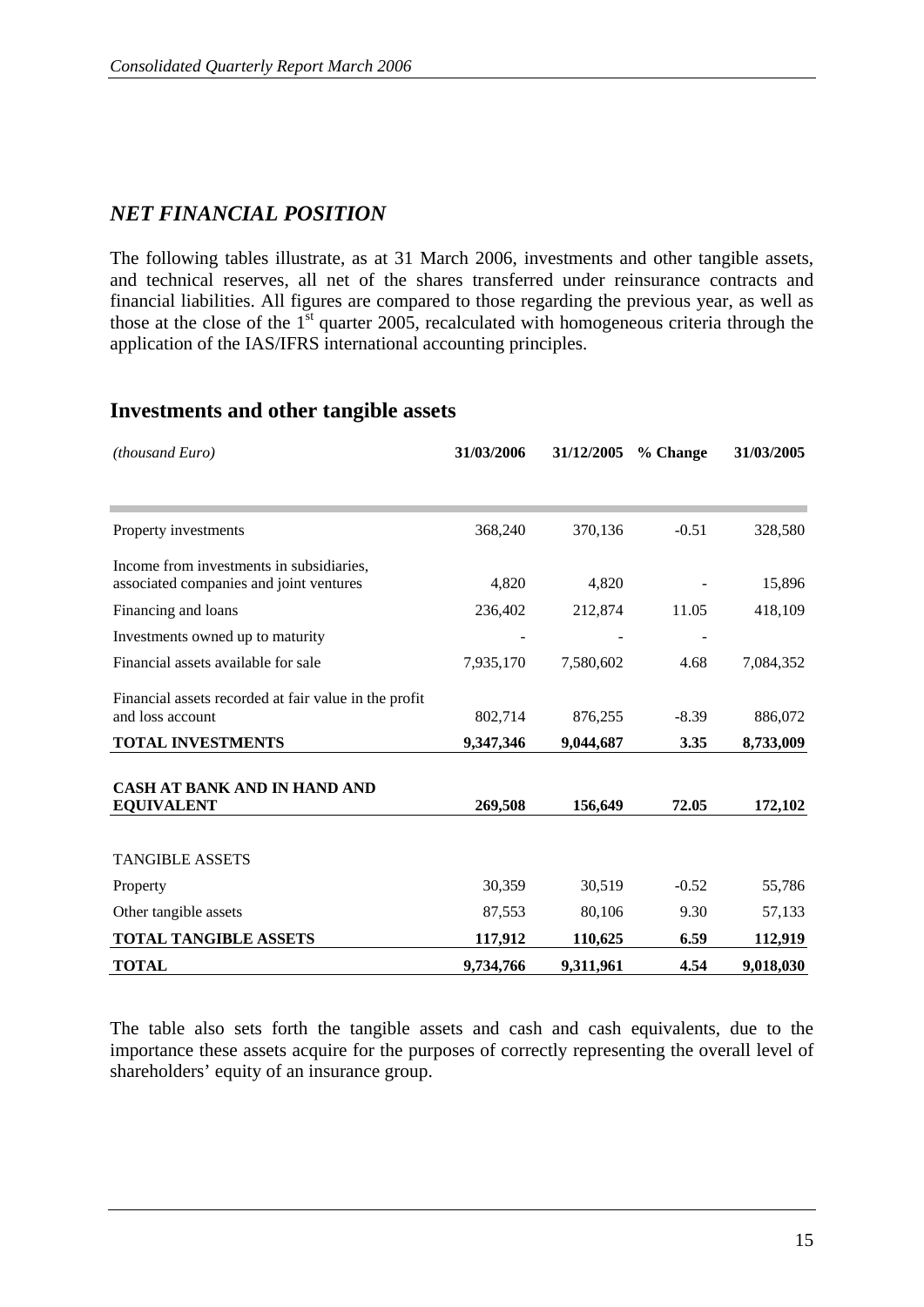## *NET FINANCIAL POSITION*

The following tables illustrate, as at 31 March 2006, investments and other tangible assets, and technical reserves, all net of the shares transferred under reinsurance contracts and financial liabilities. All figures are compared to those regarding the previous year, as well as those at the close of the  $1<sup>st</sup>$  quarter 2005, recalculated with homogeneous criteria through the application of the IAS/IFRS international accounting principles.

| (thousand Euro)                                                                     | 31/03/2006 | 31/12/2005 | % Change | 31/03/2005 |
|-------------------------------------------------------------------------------------|------------|------------|----------|------------|
|                                                                                     |            |            |          |            |
| Property investments                                                                | 368,240    | 370,136    | $-0.51$  | 328,580    |
| Income from investments in subsidiaries,<br>associated companies and joint ventures | 4,820      | 4,820      |          | 15,896     |
| Financing and loans                                                                 | 236,402    | 212,874    | 11.05    | 418,109    |
| Investments owned up to maturity                                                    |            |            |          |            |
| Financial assets available for sale                                                 | 7,935,170  | 7,580,602  | 4.68     | 7,084,352  |
| Financial assets recorded at fair value in the profit<br>and loss account           | 802,714    | 876,255    | $-8.39$  | 886,072    |
| <b>TOTAL INVESTMENTS</b>                                                            | 9,347,346  | 9,044,687  | 3.35     | 8,733,009  |
| CASH AT BANK AND IN HAND AND<br><b>EQUIVALENT</b>                                   | 269,508    | 156,649    | 72.05    | 172,102    |
| <b>TANGIBLE ASSETS</b>                                                              |            |            |          |            |
| Property                                                                            | 30,359     | 30,519     | $-0.52$  | 55,786     |
| Other tangible assets                                                               | 87,553     | 80,106     | 9.30     | 57,133     |
| <b>TOTAL TANGIBLE ASSETS</b>                                                        | 117,912    | 110,625    | 6.59     | 112,919    |
| <b>TOTAL</b>                                                                        | 9,734,766  | 9,311,961  | 4.54     | 9,018,030  |

### **Investments and other tangible assets**

The table also sets forth the tangible assets and cash and cash equivalents, due to the importance these assets acquire for the purposes of correctly representing the overall level of shareholders' equity of an insurance group.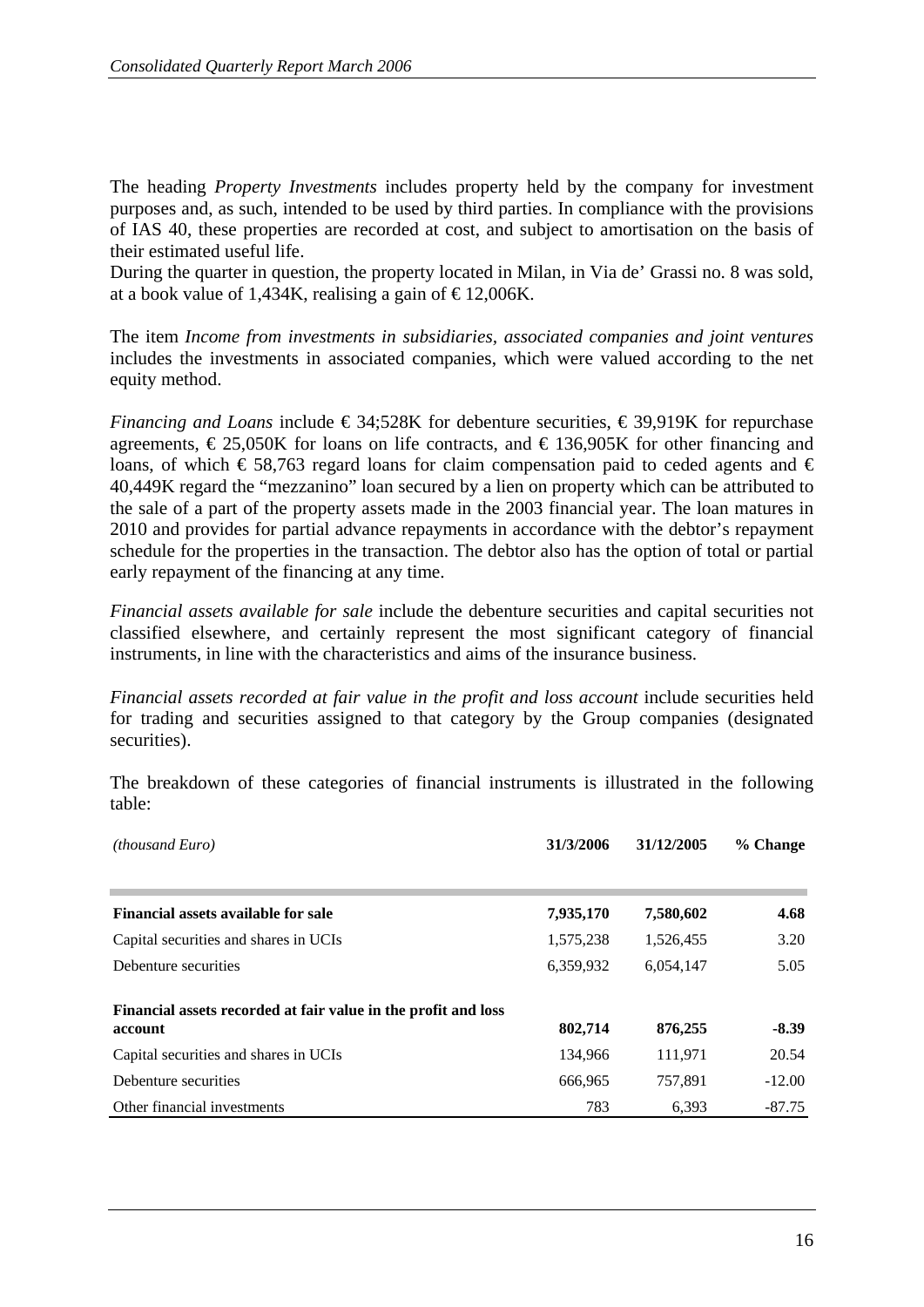The heading *Property Investments* includes property held by the company for investment purposes and, as such, intended to be used by third parties. In compliance with the provisions of IAS 40, these properties are recorded at cost, and subject to amortisation on the basis of their estimated useful life.

During the quarter in question, the property located in Milan, in Via de' Grassi no. 8 was sold, at a book value of 1,434K, realising a gain of  $\text{£}12,006$ K.

The item *Income from investments in subsidiaries, associated companies and joint ventures*  includes the investments in associated companies, which were valued according to the net equity method.

*Financing and Loans* include €34;528K for debenture securities, €39,919K for repurchase agreements,  $\epsilon$ 25,050K for loans on life contracts, and  $\epsilon$ 136,905K for other financing and loans, of which  $\epsilon$  58,763 regard loans for claim compensation paid to ceded agents and  $\epsilon$ 40,449K regard the "mezzanino" loan secured by a lien on property which can be attributed to the sale of a part of the property assets made in the 2003 financial year. The loan matures in 2010 and provides for partial advance repayments in accordance with the debtor's repayment schedule for the properties in the transaction. The debtor also has the option of total or partial early repayment of the financing at any time.

*Financial assets available for sale* include the debenture securities and capital securities not classified elsewhere, and certainly represent the most significant category of financial instruments, in line with the characteristics and aims of the insurance business.

*Financial assets recorded at fair value in the profit and loss account* include securities held for trading and securities assigned to that category by the Group companies (designated securities).

The breakdown of these categories of financial instruments is illustrated in the following table:

| <i>(thousand Euro)</i>                                         | 31/3/2006 | 31/12/2005 | % Change |
|----------------------------------------------------------------|-----------|------------|----------|
|                                                                |           |            |          |
| <b>Financial assets available for sale</b>                     | 7,935,170 | 7,580,602  | 4.68     |
| Capital securities and shares in UCIs                          | 1,575,238 | 1,526,455  | 3.20     |
| Debenture securities                                           | 6,359,932 | 6,054,147  | 5.05     |
| Financial assets recorded at fair value in the profit and loss |           |            |          |
| account                                                        | 802,714   | 876,255    | $-8.39$  |
| Capital securities and shares in UCIs                          | 134,966   | 111,971    | 20.54    |
| Debenture securities                                           | 666,965   | 757,891    | $-12.00$ |
| Other financial investments                                    | 783       | 6.393      | $-87.75$ |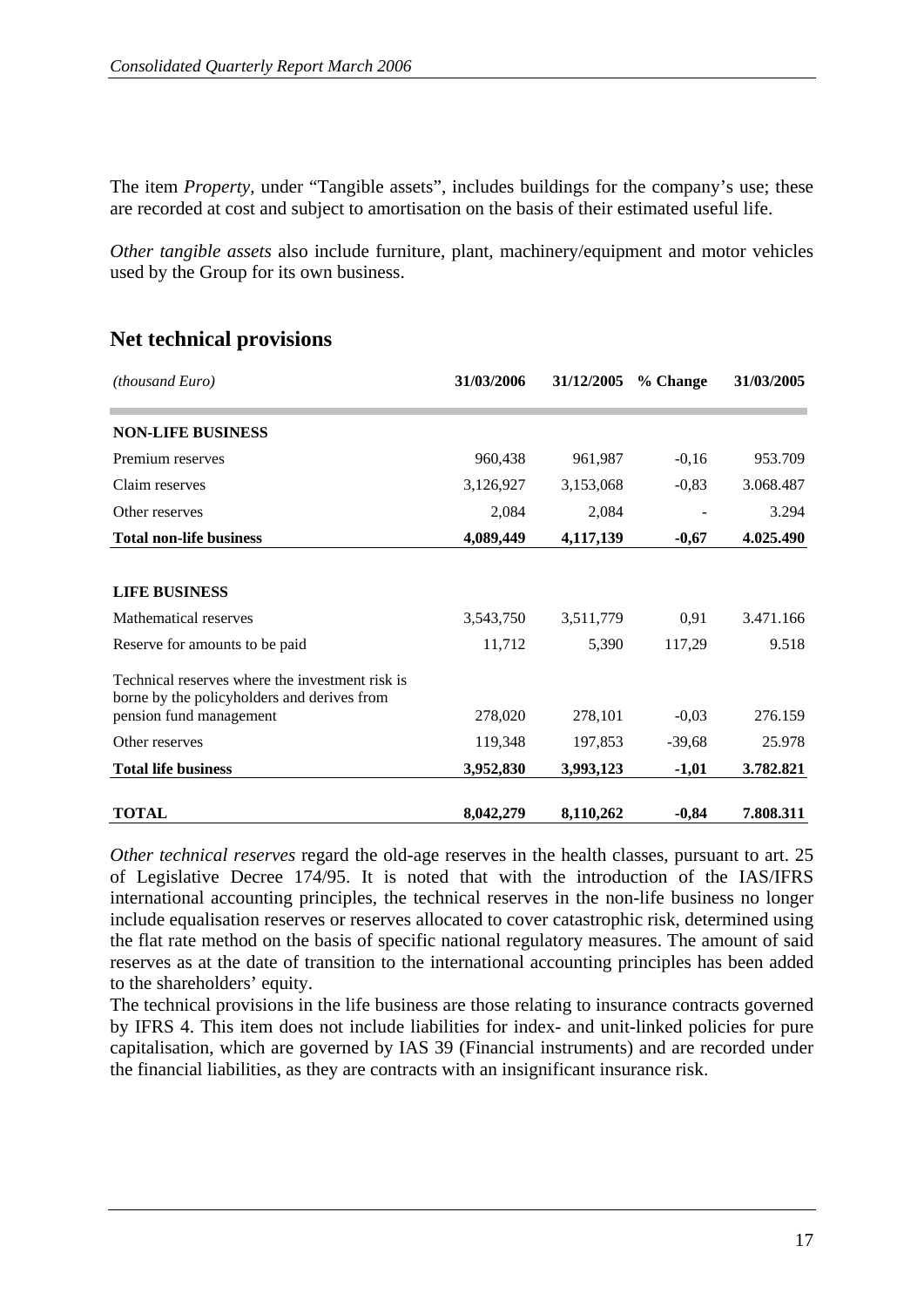The item *Property*, under "Tangible assets", includes buildings for the company's use; these are recorded at cost and subject to amortisation on the basis of their estimated useful life.

*Other tangible assets* also include furniture, plant, machinery/equipment and motor vehicles used by the Group for its own business.

| <i>(thousand Euro)</i>                                                                         | 31/03/2006 | 31/12/2005 | % Change | 31/03/2005 |
|------------------------------------------------------------------------------------------------|------------|------------|----------|------------|
| <b>NON-LIFE BUSINESS</b>                                                                       |            |            |          |            |
| Premium reserves                                                                               | 960,438    | 961,987    | $-0,16$  | 953.709    |
| Claim reserves                                                                                 | 3,126,927  | 3,153,068  | $-0,83$  | 3.068.487  |
| Other reserves                                                                                 | 2,084      | 2,084      |          | 3.294      |
| <b>Total non-life business</b>                                                                 | 4,089,449  | 4,117,139  | $-0,67$  | 4.025.490  |
|                                                                                                |            |            |          |            |
| <b>LIFE BUSINESS</b>                                                                           |            |            |          |            |
| Mathematical reserves                                                                          | 3,543,750  | 3,511,779  | 0.91     | 3.471.166  |
| Reserve for amounts to be paid                                                                 | 11,712     | 5,390      | 117,29   | 9.518      |
| Technical reserves where the investment risk is<br>borne by the policyholders and derives from |            |            |          |            |
| pension fund management                                                                        | 278,020    | 278,101    | $-0,03$  | 276.159    |
| Other reserves                                                                                 | 119,348    | 197,853    | $-39,68$ | 25.978     |
| <b>Total life business</b>                                                                     | 3,952,830  | 3,993,123  | $-1,01$  | 3.782.821  |
| <b>TOTAL</b>                                                                                   | 8,042,279  | 8,110,262  | $-0,84$  | 7.808.311  |

## **Net technical provisions**

*Other technical reserves* regard the old-age reserves in the health classes, pursuant to art. 25 of Legislative Decree 174/95. It is noted that with the introduction of the IAS/IFRS international accounting principles, the technical reserves in the non-life business no longer include equalisation reserves or reserves allocated to cover catastrophic risk, determined using the flat rate method on the basis of specific national regulatory measures. The amount of said reserves as at the date of transition to the international accounting principles has been added to the shareholders' equity.

The technical provisions in the life business are those relating to insurance contracts governed by IFRS 4. This item does not include liabilities for index- and unit-linked policies for pure capitalisation, which are governed by IAS 39 (Financial instruments) and are recorded under the financial liabilities, as they are contracts with an insignificant insurance risk.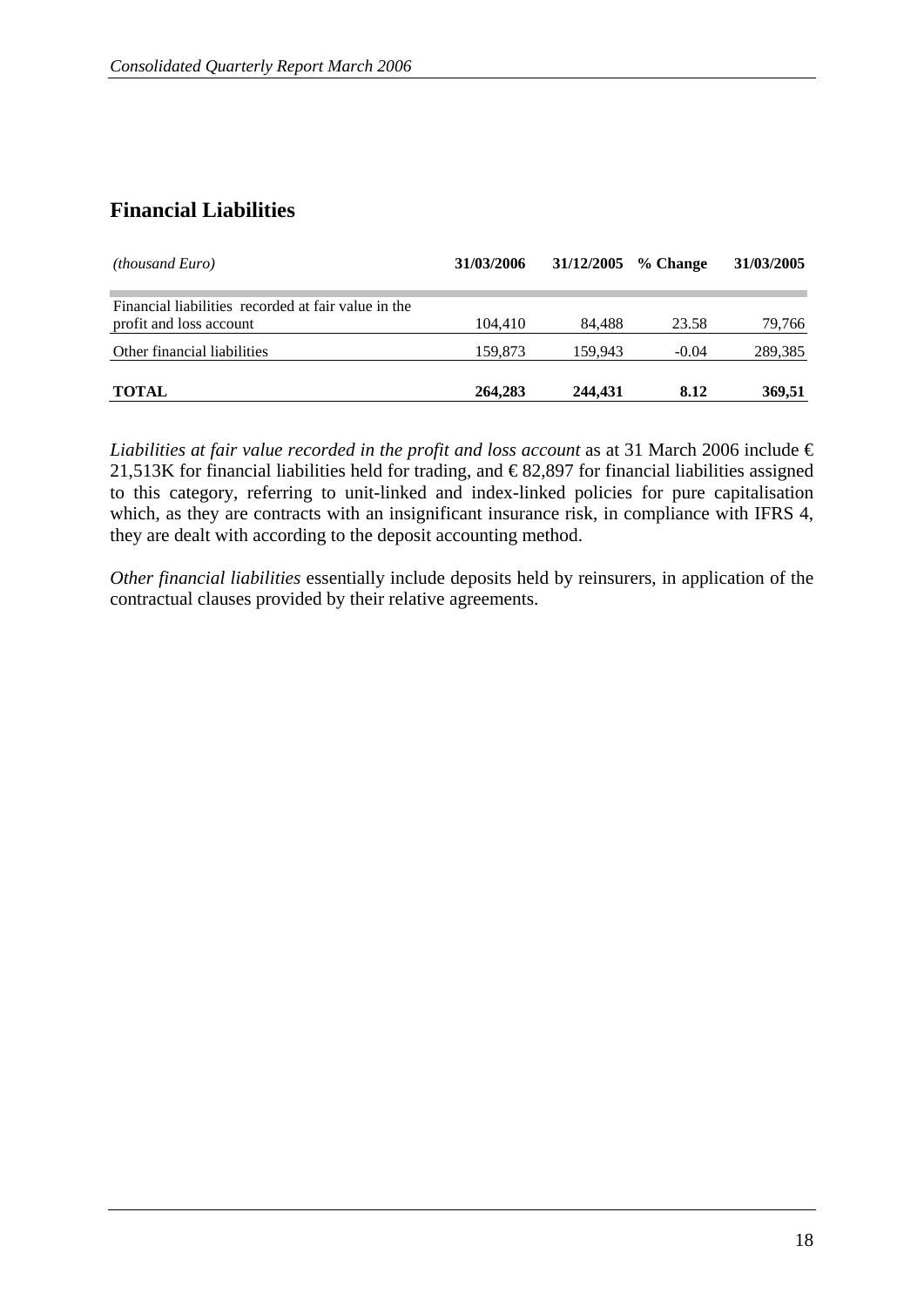## **Financial Liabilities**

| <i>(thousand Euro)</i>                                                         | 31/03/2006 | 31/12/2005 | % Change | 31/03/2005 |
|--------------------------------------------------------------------------------|------------|------------|----------|------------|
| Financial liabilities recorded at fair value in the<br>profit and loss account | 104.410    | 84.488     | 23.58    | 79,766     |
| Other financial liabilities                                                    | 159.873    | 159.943    | $-0.04$  | 289,385    |
| <b>TOTAL</b>                                                                   | 264,283    | 244,431    | 8.12     | 369,51     |

*Liabilities at fair value recorded in the profit and loss account* as at 31 March 2006 include  $\epsilon$ 21,513K for financial liabilities held for trading, and  $\epsilon$ 82,897 for financial liabilities assigned to this category, referring to unit-linked and index-linked policies for pure capitalisation which, as they are contracts with an insignificant insurance risk, in compliance with IFRS 4, they are dealt with according to the deposit accounting method.

*Other financial liabilities* essentially include deposits held by reinsurers, in application of the contractual clauses provided by their relative agreements.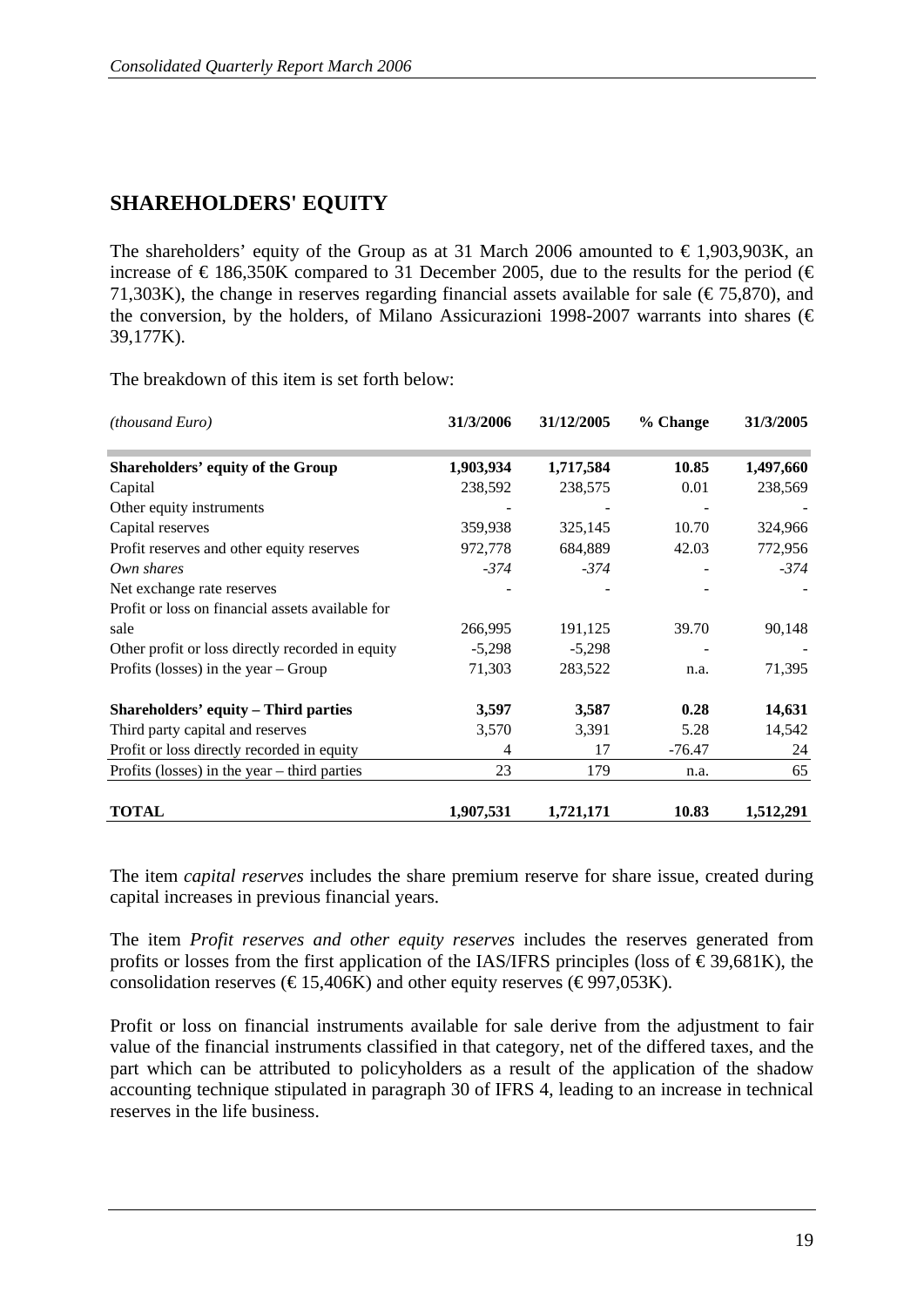## **SHAREHOLDERS' EQUITY**

The shareholders' equity of the Group as at 31 March 2006 amounted to  $\epsilon$ 1,903,903K, an increase of  $\in$  186,350K compared to 31 December 2005, due to the results for the period ( $\in$ 71,303K), the change in reserves regarding financial assets available for sale ( $\epsilon$ 75,870), and the conversion, by the holders, of Milano Assicurazioni 1998-2007 warrants into shares ( $\epsilon$ ) 39,177K).

The breakdown of this item is set forth below:

| <i>(thousand Euro)</i>                           | 31/3/2006 | 31/12/2005 | % Change | 31/3/2005 |
|--------------------------------------------------|-----------|------------|----------|-----------|
| Shareholders' equity of the Group                | 1,903,934 | 1,717,584  | 10.85    | 1,497,660 |
| Capital                                          | 238,592   | 238,575    | 0.01     | 238,569   |
| Other equity instruments                         |           |            |          |           |
| Capital reserves                                 | 359,938   | 325,145    | 10.70    | 324,966   |
| Profit reserves and other equity reserves        | 972,778   | 684,889    | 42.03    | 772,956   |
| Own shares                                       | $-374$    | $-374$     |          | $-374$    |
| Net exchange rate reserves                       |           |            |          |           |
| Profit or loss on financial assets available for |           |            |          |           |
| sale                                             | 266,995   | 191,125    | 39.70    | 90,148    |
| Other profit or loss directly recorded in equity | $-5,298$  | $-5,298$   |          |           |
| Profits (losses) in the year $-$ Group           | 71,303    | 283,522    | n.a.     | 71,395    |
| <b>Shareholders' equity - Third parties</b>      | 3,597     | 3,587      | 0.28     | 14,631    |
| Third party capital and reserves                 | 3,570     | 3,391      | 5.28     | 14,542    |
| Profit or loss directly recorded in equity       | 4         | 17         | $-76.47$ | 24        |
| Profits (losses) in the year $-$ third parties   | 23        | 179        | n.a.     | 65        |
| <b>TOTAL</b>                                     | 1,907,531 | 1,721,171  | 10.83    | 1,512,291 |

The item *capital reserves* includes the share premium reserve for share issue, created during capital increases in previous financial years.

The item *Profit reserves and other equity reserves* includes the reserves generated from profits or losses from the first application of the IAS/IFRS principles (loss of  $\epsilon$  39,681K), the consolidation reserves ( $\epsilon$ 15,406K) and other equity reserves ( $\epsilon$ 997,053K).

Profit or loss on financial instruments available for sale derive from the adjustment to fair value of the financial instruments classified in that category, net of the differed taxes, and the part which can be attributed to policyholders as a result of the application of the shadow accounting technique stipulated in paragraph 30 of IFRS 4, leading to an increase in technical reserves in the life business.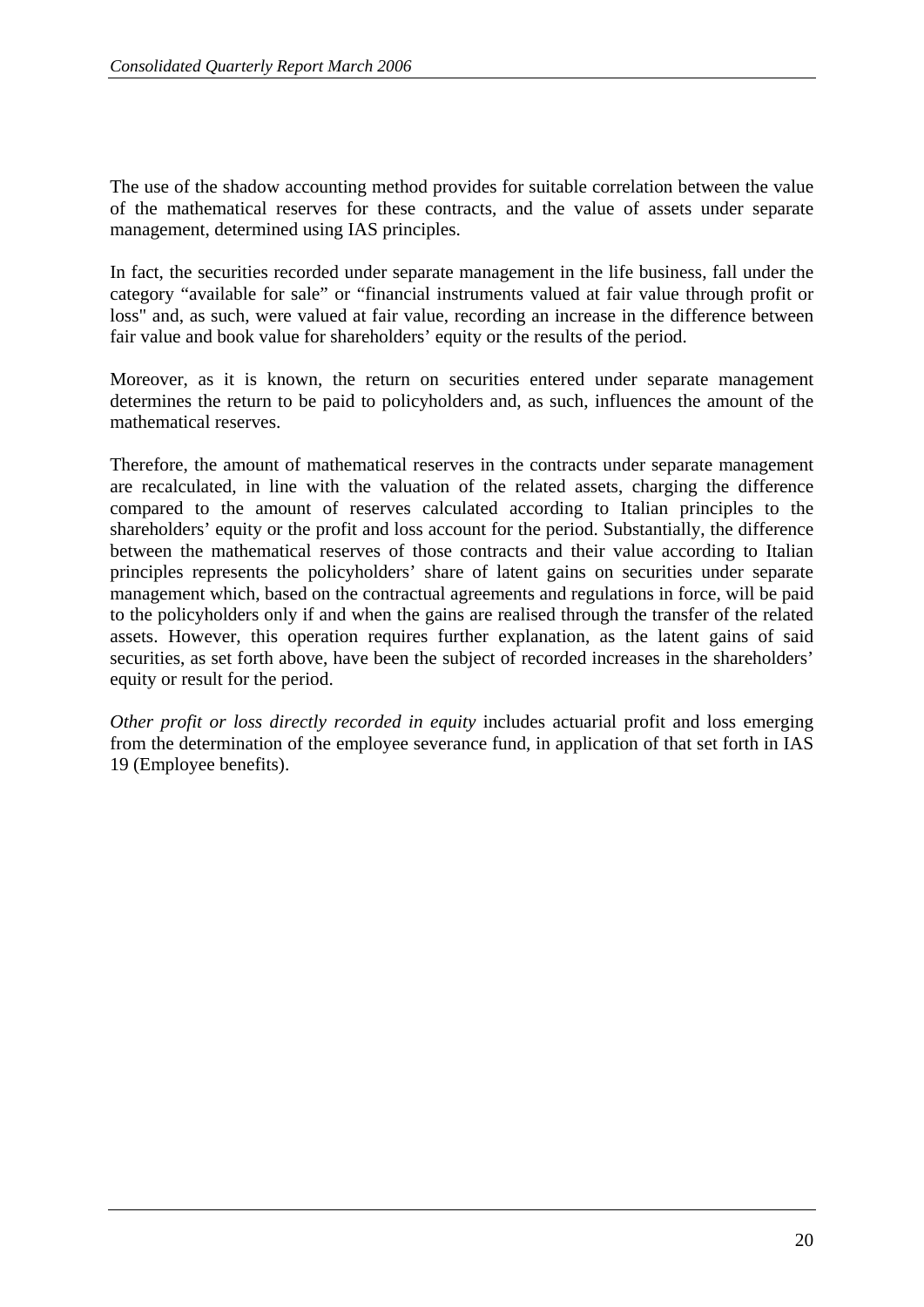The use of the shadow accounting method provides for suitable correlation between the value of the mathematical reserves for these contracts, and the value of assets under separate management, determined using IAS principles.

In fact, the securities recorded under separate management in the life business, fall under the category "available for sale" or "financial instruments valued at fair value through profit or loss" and, as such, were valued at fair value, recording an increase in the difference between fair value and book value for shareholders' equity or the results of the period.

Moreover, as it is known, the return on securities entered under separate management determines the return to be paid to policyholders and, as such, influences the amount of the mathematical reserves.

Therefore, the amount of mathematical reserves in the contracts under separate management are recalculated, in line with the valuation of the related assets, charging the difference compared to the amount of reserves calculated according to Italian principles to the shareholders' equity or the profit and loss account for the period. Substantially, the difference between the mathematical reserves of those contracts and their value according to Italian principles represents the policyholders' share of latent gains on securities under separate management which, based on the contractual agreements and regulations in force, will be paid to the policyholders only if and when the gains are realised through the transfer of the related assets. However, this operation requires further explanation, as the latent gains of said securities, as set forth above, have been the subject of recorded increases in the shareholders' equity or result for the period.

*Other profit or loss directly recorded in equity* includes actuarial profit and loss emerging from the determination of the employee severance fund, in application of that set forth in IAS 19 (Employee benefits).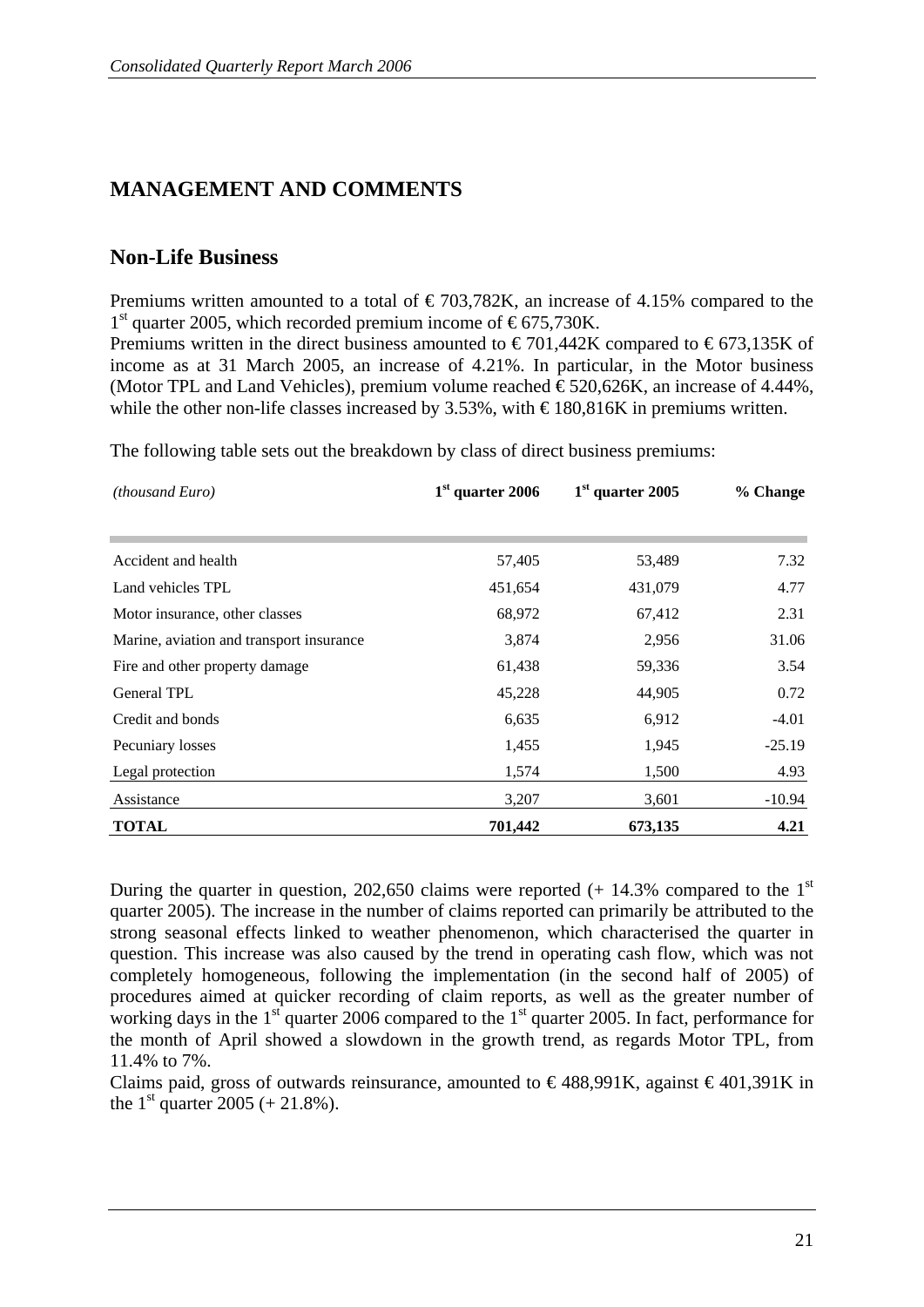## **MANAGEMENT AND COMMENTS**

### **Non-Life Business**

Premiums written amounted to a total of  $\epsilon$ 703,782K, an increase of 4.15% compared to the  $1<sup>st</sup>$  quarter 2005, which recorded premium income of  $\epsilon$ 675,730K.

Premiums written in the direct business amounted to  $\epsilon$  701,442K compared to  $\epsilon$ 673,135K of income as at 31 March 2005, an increase of 4.21%. In particular, in the Motor business (Motor TPL and Land Vehicles), premium volume reached  $\epsilon$ 520,626K, an increase of 4.44%, while the other non-life classes increased by 3.53%, with  $\text{\textsterling}180,816K$  in premiums written.

The following table sets out the breakdown by class of direct business premiums:

| (thousand Euro)                          | $1st$ quarter 2006 | $1st$ quarter 2005 | % Change |
|------------------------------------------|--------------------|--------------------|----------|
|                                          |                    |                    |          |
| Accident and health                      | 57,405             | 53,489             | 7.32     |
| Land vehicles TPL                        | 451,654            | 431,079            | 4.77     |
| Motor insurance, other classes           | 68,972             | 67,412             | 2.31     |
| Marine, aviation and transport insurance | 3,874              | 2,956              | 31.06    |
| Fire and other property damage           | 61,438             | 59,336             | 3.54     |
| <b>General TPL</b>                       | 45,228             | 44,905             | 0.72     |
| Credit and bonds                         | 6,635              | 6,912              | $-4.01$  |
| Pecuniary losses                         | 1,455              | 1,945              | $-25.19$ |
| Legal protection                         | 1,574              | 1,500              | 4.93     |
| Assistance                               | 3,207              | 3,601              | $-10.94$ |
| <b>TOTAL</b>                             | 701,442            | 673,135            | 4.21     |

During the quarter in question, 202,650 claims were reported  $(+ 14.3\%$  compared to the 1<sup>st</sup> quarter 2005). The increase in the number of claims reported can primarily be attributed to the strong seasonal effects linked to weather phenomenon, which characterised the quarter in question. This increase was also caused by the trend in operating cash flow, which was not completely homogeneous, following the implementation (in the second half of 2005) of procedures aimed at quicker recording of claim reports, as well as the greater number of working days in the  $1<sup>st</sup>$  quarter 2006 compared to the  $1<sup>st</sup>$  quarter 2005. In fact, performance for the month of April showed a slowdown in the growth trend, as regards Motor TPL, from 11.4% to 7%.

Claims paid, gross of outwards reinsurance, amounted to  $\epsilon$ 488,991K, against  $\epsilon$ 401,391K in the  $1^{\text{st}}$  quarter 2005 (+ 21.8%).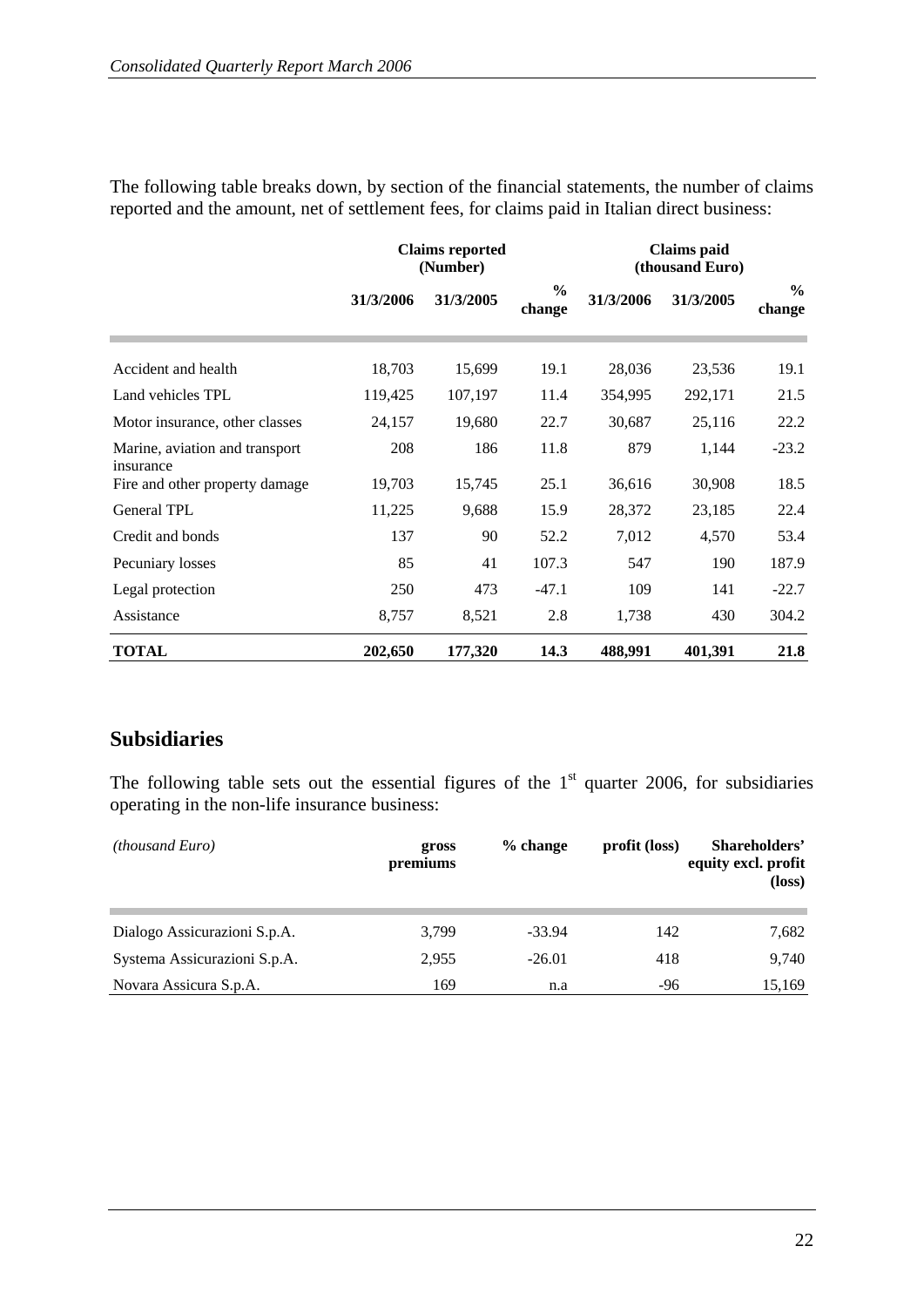The following table breaks down, by section of the financial statements, the number of claims reported and the amount, net of settlement fees, for claims paid in Italian direct business:

|                                             | <b>Claims reported</b><br>(Number) |           |                         | <b>Claims</b> paid<br>(thousand Euro) |           |                         |
|---------------------------------------------|------------------------------------|-----------|-------------------------|---------------------------------------|-----------|-------------------------|
|                                             | 31/3/2006                          | 31/3/2005 | $\frac{6}{6}$<br>change | 31/3/2006                             | 31/3/2005 | $\frac{6}{9}$<br>change |
| Accident and health                         | 18,703                             | 15,699    | 19.1                    | 28,036                                | 23,536    | 19.1                    |
| Land vehicles TPL                           | 119,425                            | 107,197   | 11.4                    | 354,995                               | 292,171   | 21.5                    |
| Motor insurance, other classes              | 24,157                             | 19,680    | 22.7                    | 30,687                                | 25,116    | 22.2                    |
| Marine, aviation and transport<br>insurance | 208                                | 186       | 11.8                    | 879                                   | 1,144     | $-23.2$                 |
| Fire and other property damage              | 19,703                             | 15,745    | 25.1                    | 36,616                                | 30,908    | 18.5                    |
| General TPL                                 | 11,225                             | 9,688     | 15.9                    | 28,372                                | 23,185    | 22.4                    |
| Credit and bonds                            | 137                                | 90        | 52.2                    | 7,012                                 | 4,570     | 53.4                    |
| Pecuniary losses                            | 85                                 | 41        | 107.3                   | 547                                   | 190       | 187.9                   |
| Legal protection                            | 250                                | 473       | $-47.1$                 | 109                                   | 141       | $-22.7$                 |
| Assistance                                  | 8,757                              | 8,521     | 2.8                     | 1,738                                 | 430       | 304.2                   |
| <b>TOTAL</b>                                | 202,650                            | 177,320   | 14.3                    | 488,991                               | 401,391   | 21.8                    |

## **Subsidiaries**

The following table sets out the essential figures of the  $1<sup>st</sup>$  quarter 2006, for subsidiaries operating in the non-life insurance business:

| <i>(thousand Euro)</i>       | gross<br>premiums | $%$ change | profit (loss) | Shareholders'<br>equity excl. profit<br>$(\text{loss})$ |
|------------------------------|-------------------|------------|---------------|---------------------------------------------------------|
| Dialogo Assicurazioni S.p.A. | 3,799             | $-33.94$   | 142           | 7,682                                                   |
| Systema Assicurazioni S.p.A. | 2,955             | $-26.01$   | 418           | 9,740                                                   |
| Novara Assicura S.p.A.       | 169               | n.a        | $-96$         | 15,169                                                  |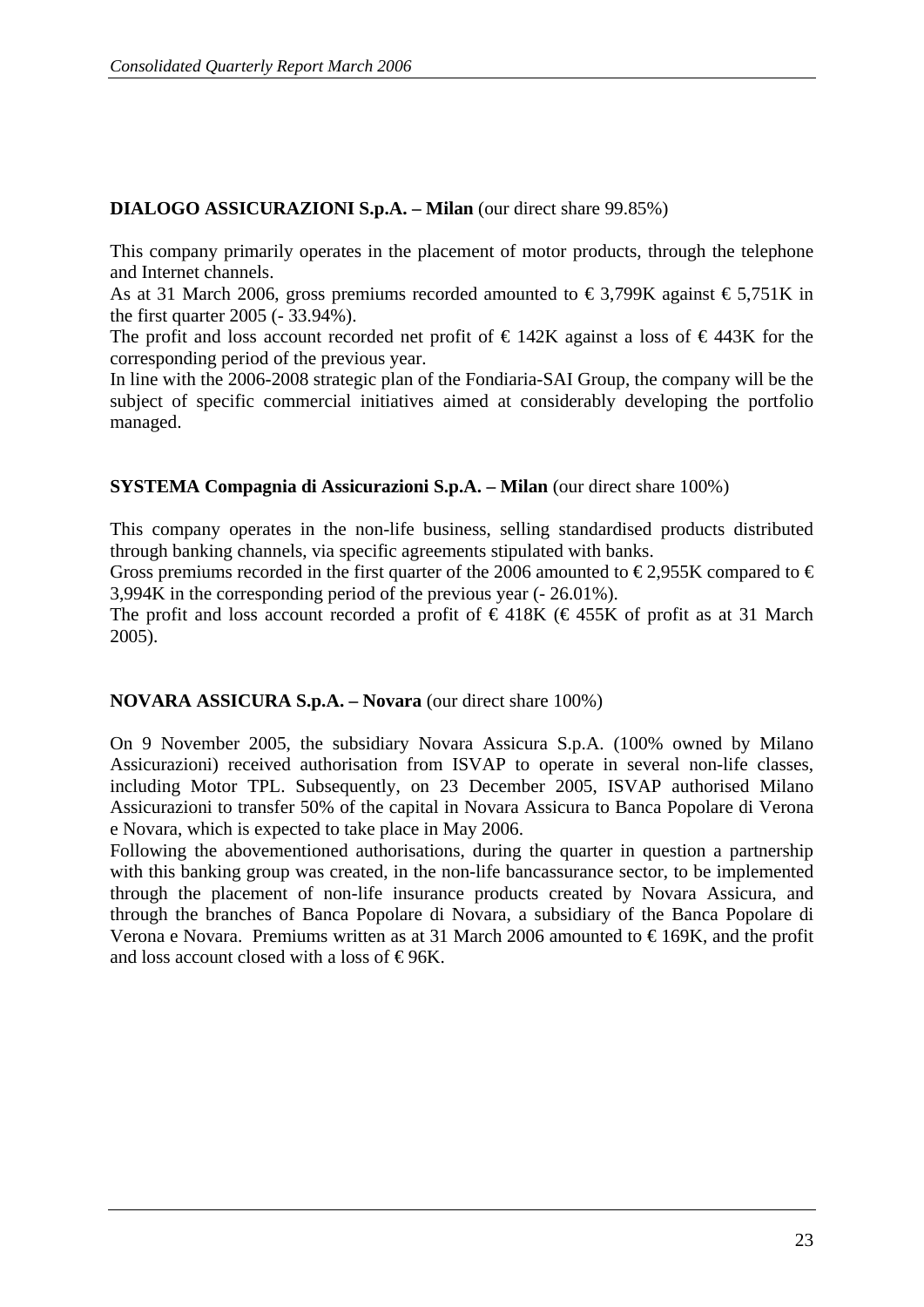#### **DIALOGO ASSICURAZIONI S.p.A. – Milan** (our direct share 99.85%)

This company primarily operates in the placement of motor products, through the telephone and Internet channels.

As at 31 March 2006, gross premiums recorded amounted to  $\epsilon$ 3,799K against  $\epsilon$ 5,751K in the first quarter 2005 (- 33.94%).

The profit and loss account recorded net profit of  $\epsilon$  142K against a loss of  $\epsilon$  443K for the corresponding period of the previous year.

In line with the 2006-2008 strategic plan of the Fondiaria-SAI Group, the company will be the subject of specific commercial initiatives aimed at considerably developing the portfolio managed.

#### **SYSTEMA Compagnia di Assicurazioni S.p.A. – Milan** (our direct share 100%)

This company operates in the non-life business, selling standardised products distributed through banking channels, via specific agreements stipulated with banks.

Gross premiums recorded in the first quarter of the 2006 amounted to  $\epsilon$  £2,955K compared to  $\epsilon$ 3,994K in the corresponding period of the previous year (- 26.01%).

The profit and loss account recorded a profit of  $\epsilon$ 418K ( $\epsilon$ 455K of profit as at 31 March 2005).

#### **NOVARA ASSICURA S.p.A. – Novara** (our direct share 100%)

On 9 November 2005, the subsidiary Novara Assicura S.p.A. (100% owned by Milano Assicurazioni) received authorisation from ISVAP to operate in several non-life classes, including Motor TPL. Subsequently, on 23 December 2005, ISVAP authorised Milano Assicurazioni to transfer 50% of the capital in Novara Assicura to Banca Popolare di Verona e Novara, which is expected to take place in May 2006.

Following the abovementioned authorisations, during the quarter in question a partnership with this banking group was created, in the non-life bancassurance sector, to be implemented through the placement of non-life insurance products created by Novara Assicura, and through the branches of Banca Popolare di Novara, a subsidiary of the Banca Popolare di Verona e Novara. Premiums written as at 31 March 2006 amounted to  $\epsilon$ 169K, and the profit and loss account closed with a loss of  $\epsilon$ 96K.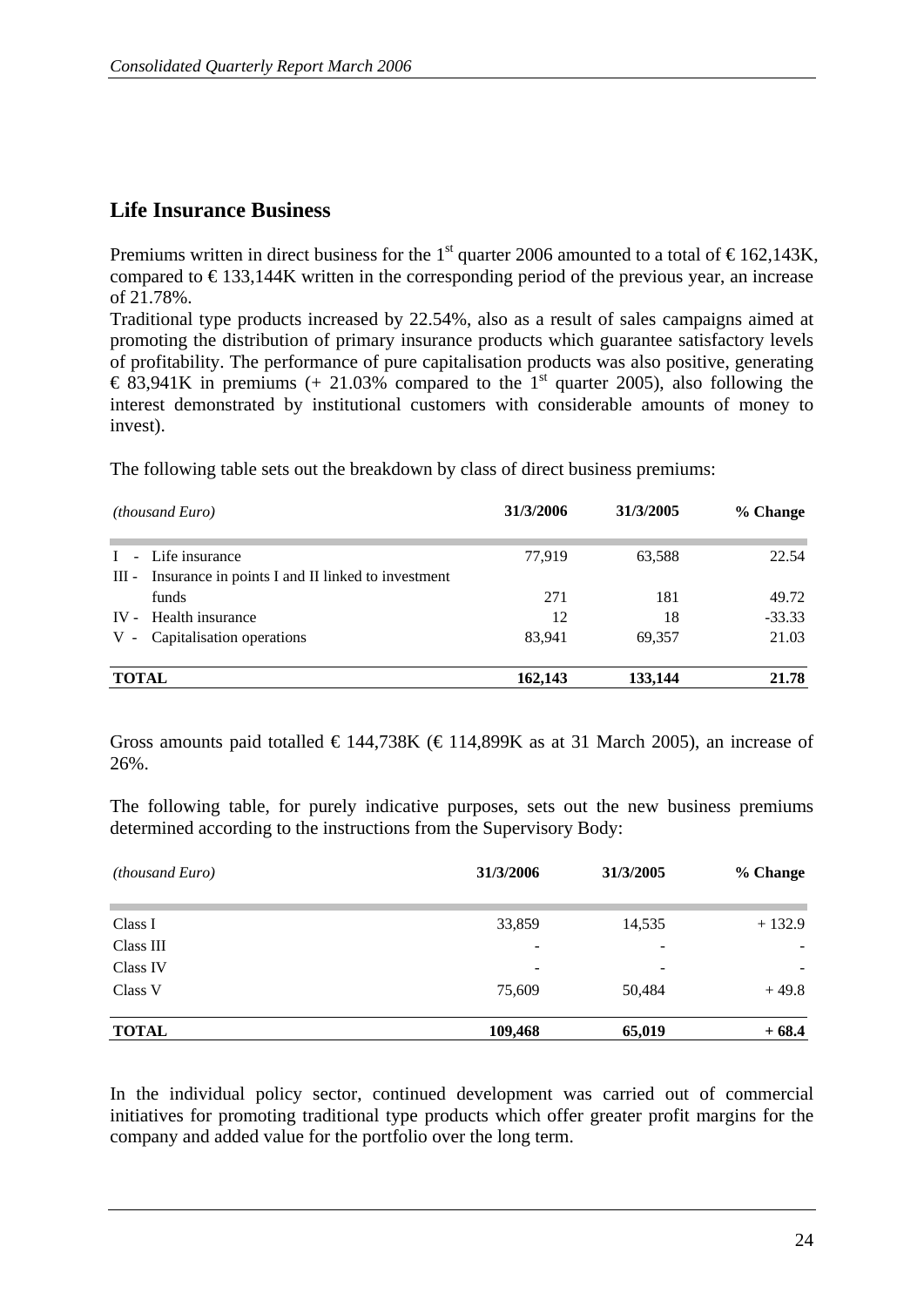### **Life Insurance Business**

Premiums written in direct business for the 1<sup>st</sup> quarter 2006 amounted to a total of  $\epsilon$ 162,143K, compared to  $\epsilon$ 133,144K written in the corresponding period of the previous year, an increase of 21.78%.

Traditional type products increased by 22.54%, also as a result of sales campaigns aimed at promoting the distribution of primary insurance products which guarantee satisfactory levels of profitability. The performance of pure capitalisation products was also positive, generating  $\epsilon$  83,941K in premiums (+ 21.03% compared to the 1<sup>st</sup> quarter 2005), also following the interest demonstrated by institutional customers with considerable amounts of money to invest).

The following table sets out the breakdown by class of direct business premiums:

|              | <i>(thousand Euro)</i>                            | 31/3/2006 | 31/3/2005 | % Change |
|--------------|---------------------------------------------------|-----------|-----------|----------|
|              | - Life insurance                                  | 77,919    | 63,588    | 22.54    |
| Ш -          | Insurance in points I and II linked to investment |           |           |          |
|              | funds                                             | 271       | 181       | 49.72    |
|              | IV - Health insurance                             | 12        | 18        | $-33.33$ |
| $V -$        | Capitalisation operations                         | 83.941    | 69,357    | 21.03    |
| <b>TOTAL</b> |                                                   | 162,143   | 133,144   | 21.78    |

Gross amounts paid totalled  $\in$  144,738K ( $\in$  114,899K as at 31 March 2005), an increase of 26%.

The following table, for purely indicative purposes, sets out the new business premiums determined according to the instructions from the Supervisory Body:

| <i>(thousand Euro)</i> | 31/3/2006                | 31/3/2005 | % Change |
|------------------------|--------------------------|-----------|----------|
| Class I                | 33,859                   | 14,535    | $+132.9$ |
| Class III              | -                        | ۰         |          |
| Class IV               | $\overline{\phantom{0}}$ | ۰         |          |
| Class V                | 75,609                   | 50,484    | $+49.8$  |
| <b>TOTAL</b>           | 109,468                  | 65,019    | $+68.4$  |

In the individual policy sector, continued development was carried out of commercial initiatives for promoting traditional type products which offer greater profit margins for the company and added value for the portfolio over the long term.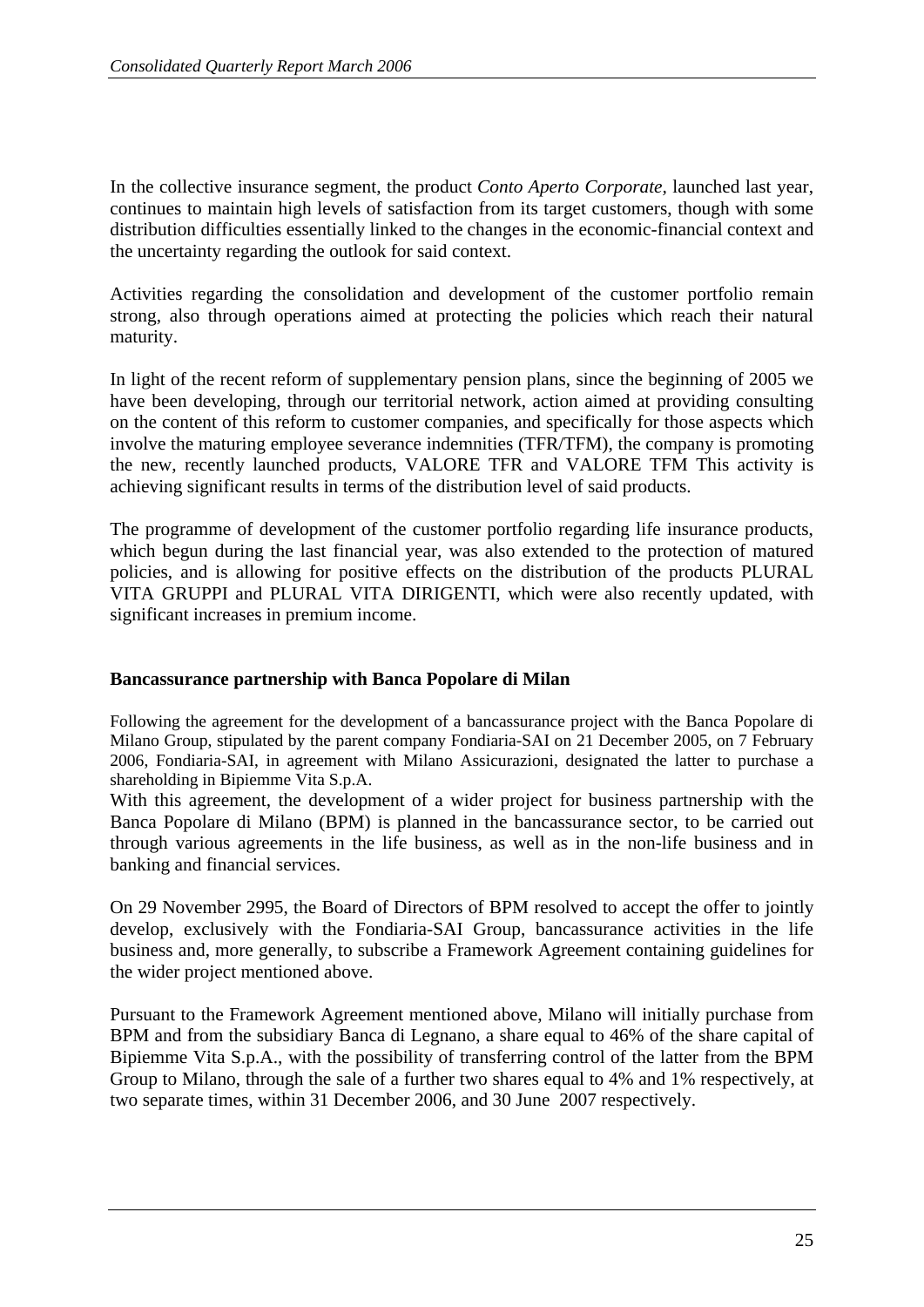In the collective insurance segment, the product *Conto Aperto Corporate,* launched last year, continues to maintain high levels of satisfaction from its target customers, though with some distribution difficulties essentially linked to the changes in the economic-financial context and the uncertainty regarding the outlook for said context.

Activities regarding the consolidation and development of the customer portfolio remain strong, also through operations aimed at protecting the policies which reach their natural maturity.

In light of the recent reform of supplementary pension plans, since the beginning of 2005 we have been developing, through our territorial network, action aimed at providing consulting on the content of this reform to customer companies, and specifically for those aspects which involve the maturing employee severance indemnities (TFR/TFM), the company is promoting the new, recently launched products, VALORE TFR and VALORE TFM This activity is achieving significant results in terms of the distribution level of said products.

The programme of development of the customer portfolio regarding life insurance products, which begun during the last financial year, was also extended to the protection of matured policies, and is allowing for positive effects on the distribution of the products PLURAL VITA GRUPPI and PLURAL VITA DIRIGENTI, which were also recently updated, with significant increases in premium income.

#### **Bancassurance partnership with Banca Popolare di Milan**

Following the agreement for the development of a bancassurance project with the Banca Popolare di Milano Group, stipulated by the parent company Fondiaria-SAI on 21 December 2005, on 7 February 2006, Fondiaria-SAI, in agreement with Milano Assicurazioni, designated the latter to purchase a shareholding in Bipiemme Vita S.p.A.

With this agreement, the development of a wider project for business partnership with the Banca Popolare di Milano (BPM) is planned in the bancassurance sector, to be carried out through various agreements in the life business, as well as in the non-life business and in banking and financial services.

On 29 November 2995, the Board of Directors of BPM resolved to accept the offer to jointly develop, exclusively with the Fondiaria-SAI Group, bancassurance activities in the life business and, more generally, to subscribe a Framework Agreement containing guidelines for the wider project mentioned above.

Pursuant to the Framework Agreement mentioned above, Milano will initially purchase from BPM and from the subsidiary Banca di Legnano, a share equal to 46% of the share capital of Bipiemme Vita S.p.A., with the possibility of transferring control of the latter from the BPM Group to Milano, through the sale of a further two shares equal to 4% and 1% respectively, at two separate times, within 31 December 2006, and 30 June 2007 respectively.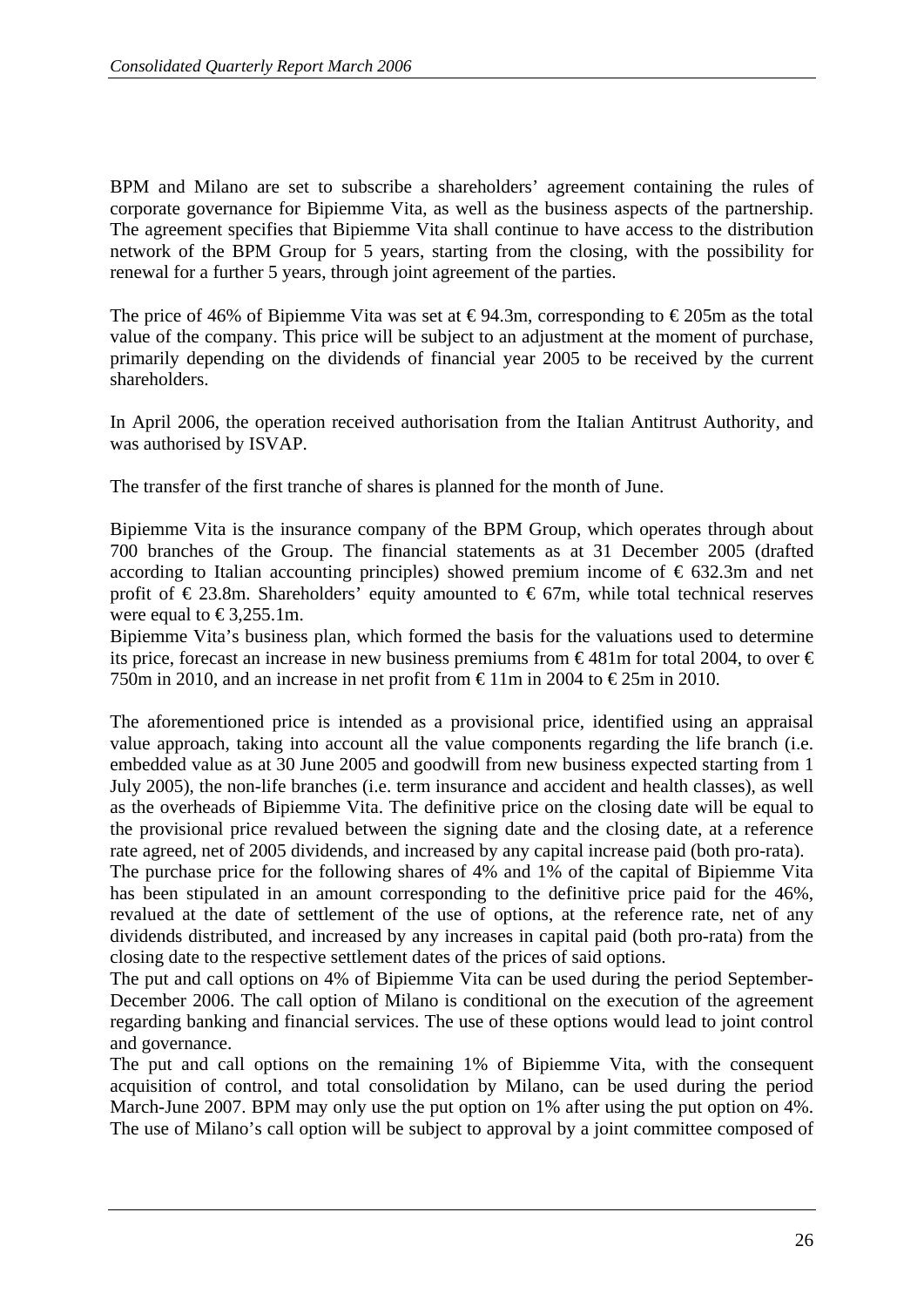BPM and Milano are set to subscribe a shareholders' agreement containing the rules of corporate governance for Bipiemme Vita, as well as the business aspects of the partnership. The agreement specifies that Bipiemme Vita shall continue to have access to the distribution network of the BPM Group for 5 years, starting from the closing, with the possibility for renewal for a further 5 years, through joint agreement of the parties.

The price of 46% of Bipiemme Vita was set at  $\epsilon$ 94.3m, corresponding to  $\epsilon$ 205m as the total value of the company. This price will be subject to an adjustment at the moment of purchase, primarily depending on the dividends of financial year 2005 to be received by the current shareholders.

In April 2006, the operation received authorisation from the Italian Antitrust Authority, and was authorised by ISVAP.

The transfer of the first tranche of shares is planned for the month of June.

Bipiemme Vita is the insurance company of the BPM Group, which operates through about 700 branches of the Group. The financial statements as at 31 December 2005 (drafted according to Italian accounting principles) showed premium income of  $\epsilon$  632.3m and net profit of  $\epsilon$  23.8m. Shareholders' equity amounted to  $\epsilon$  67m, while total technical reserves were equal to  $\text{\textsterling}3,255.1m$ .

Bipiemme Vita's business plan, which formed the basis for the valuations used to determine its price, forecast an increase in new business premiums from  $\epsilon$ 481m for total 2004, to over  $\epsilon$ 750m in 2010, and an increase in net profit from  $\epsilon$ 11m in 2004 to  $\epsilon$ 25m in 2010.

The aforementioned price is intended as a provisional price, identified using an appraisal value approach, taking into account all the value components regarding the life branch (i.e. embedded value as at 30 June 2005 and goodwill from new business expected starting from 1 July 2005), the non-life branches (i.e. term insurance and accident and health classes), as well as the overheads of Bipiemme Vita. The definitive price on the closing date will be equal to the provisional price revalued between the signing date and the closing date, at a reference rate agreed, net of 2005 dividends, and increased by any capital increase paid (both pro-rata).

The purchase price for the following shares of 4% and 1% of the capital of Bipiemme Vita has been stipulated in an amount corresponding to the definitive price paid for the 46%, revalued at the date of settlement of the use of options, at the reference rate, net of any dividends distributed, and increased by any increases in capital paid (both pro-rata) from the closing date to the respective settlement dates of the prices of said options.

The put and call options on 4% of Bipiemme Vita can be used during the period September-December 2006. The call option of Milano is conditional on the execution of the agreement regarding banking and financial services. The use of these options would lead to joint control and governance.

The put and call options on the remaining 1% of Bipiemme Vita, with the consequent acquisition of control, and total consolidation by Milano, can be used during the period March-June 2007. BPM may only use the put option on 1% after using the put option on 4%. The use of Milano's call option will be subject to approval by a joint committee composed of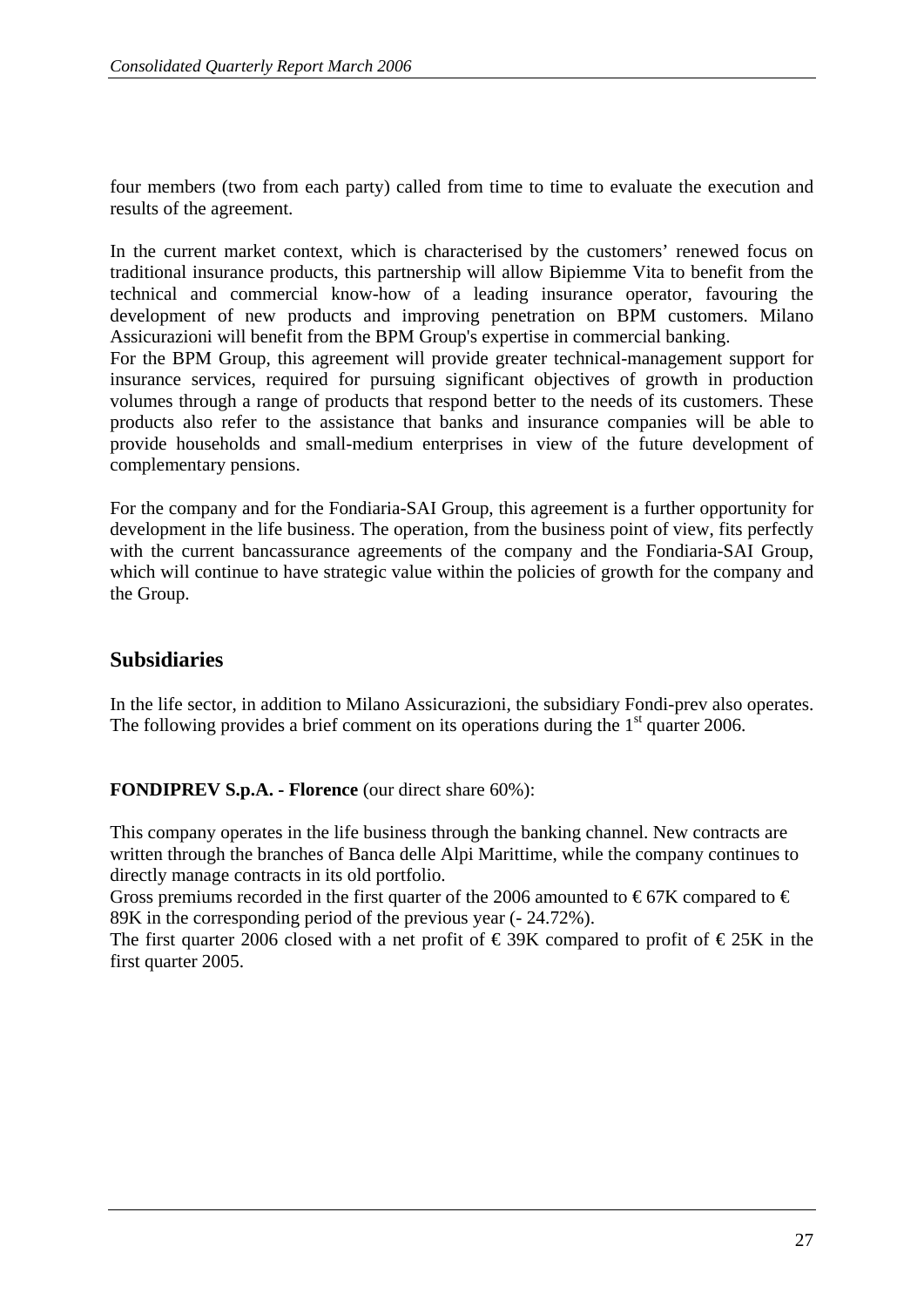four members (two from each party) called from time to time to evaluate the execution and results of the agreement.

In the current market context, which is characterised by the customers' renewed focus on traditional insurance products, this partnership will allow Bipiemme Vita to benefit from the technical and commercial know-how of a leading insurance operator, favouring the development of new products and improving penetration on BPM customers. Milano Assicurazioni will benefit from the BPM Group's expertise in commercial banking.

For the BPM Group, this agreement will provide greater technical-management support for insurance services, required for pursuing significant objectives of growth in production volumes through a range of products that respond better to the needs of its customers. These products also refer to the assistance that banks and insurance companies will be able to provide households and small-medium enterprises in view of the future development of complementary pensions.

For the company and for the Fondiaria-SAI Group, this agreement is a further opportunity for development in the life business. The operation, from the business point of view, fits perfectly with the current bancassurance agreements of the company and the Fondiaria-SAI Group, which will continue to have strategic value within the policies of growth for the company and the Group.

## **Subsidiaries**

In the life sector, in addition to Milano Assicurazioni, the subsidiary Fondi-prev also operates. The following provides a brief comment on its operations during the  $1<sup>st</sup>$  quarter 2006.

**FONDIPREV S.p.A. - Florence** (our direct share 60%):

This company operates in the life business through the banking channel. New contracts are written through the branches of Banca delle Alpi Marittime, while the company continues to directly manage contracts in its old portfolio.

Gross premiums recorded in the first quarter of the 2006 amounted to  $\epsilon$ 67K compared to  $\epsilon$ 89K in the corresponding period of the previous year (- 24.72%).

The first quarter 2006 closed with a net profit of  $\epsilon$  39K compared to profit of  $\epsilon$  25K in the first quarter 2005.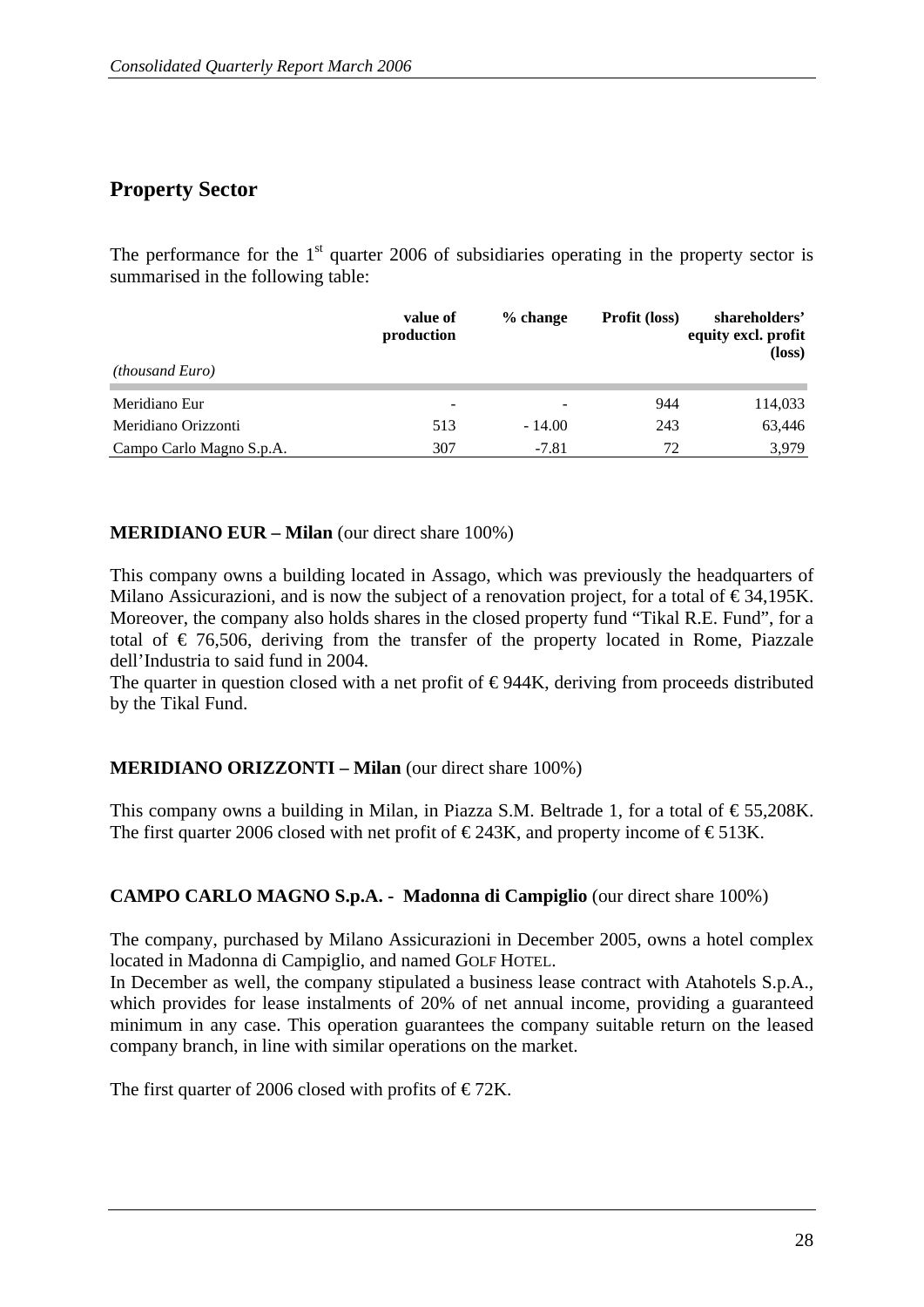## **Property Sector**

The performance for the  $1<sup>st</sup>$  quarter 2006 of subsidiaries operating in the property sector is summarised in the following table:

|                          | value of<br>production   | $%$ change | <b>Profit (loss)</b> | shareholders'<br>equity excl. profit<br>$(\text{loss})$ |
|--------------------------|--------------------------|------------|----------------------|---------------------------------------------------------|
| <i>(thousand Euro)</i>   |                          |            |                      |                                                         |
| Meridiano Eur            | $\overline{\phantom{0}}$ |            | 944                  | 114,033                                                 |
| Meridiano Orizzonti      | 513                      | $-14.00$   | 243                  | 63,446                                                  |
| Campo Carlo Magno S.p.A. | 307                      | $-7.81$    | 72                   | 3.979                                                   |

#### **MERIDIANO EUR – Milan** (our direct share 100%)

This company owns a building located in Assago, which was previously the headquarters of Milano Assicurazioni, and is now the subject of a renovation project, for a total of  $\epsilon$ 34,195K. Moreover, the company also holds shares in the closed property fund "Tikal R.E. Fund", for a total of  $\epsilon$  76,506, deriving from the transfer of the property located in Rome, Piazzale dell'Industria to said fund in 2004.

The quarter in question closed with a net profit of  $\epsilon$ 944K, deriving from proceeds distributed by the Tikal Fund.

#### **MERIDIANO ORIZZONTI – Milan** (our direct share 100%)

This company owns a building in Milan, in Piazza S.M. Beltrade 1, for a total of  $\epsilon$ 55,208K. The first quarter 2006 closed with net profit of  $\epsilon$ 243K, and property income of  $\epsilon$ 513K.

#### **CAMPO CARLO MAGNO S.p.A. - Madonna di Campiglio** (our direct share 100%)

The company, purchased by Milano Assicurazioni in December 2005, owns a hotel complex located in Madonna di Campiglio, and named GOLF HOTEL.

In December as well, the company stipulated a business lease contract with Atahotels S.p.A., which provides for lease instalments of 20% of net annual income, providing a guaranteed minimum in any case. This operation guarantees the company suitable return on the leased company branch, in line with similar operations on the market.

The first quarter of 2006 closed with profits of  $\epsilon$ 72K.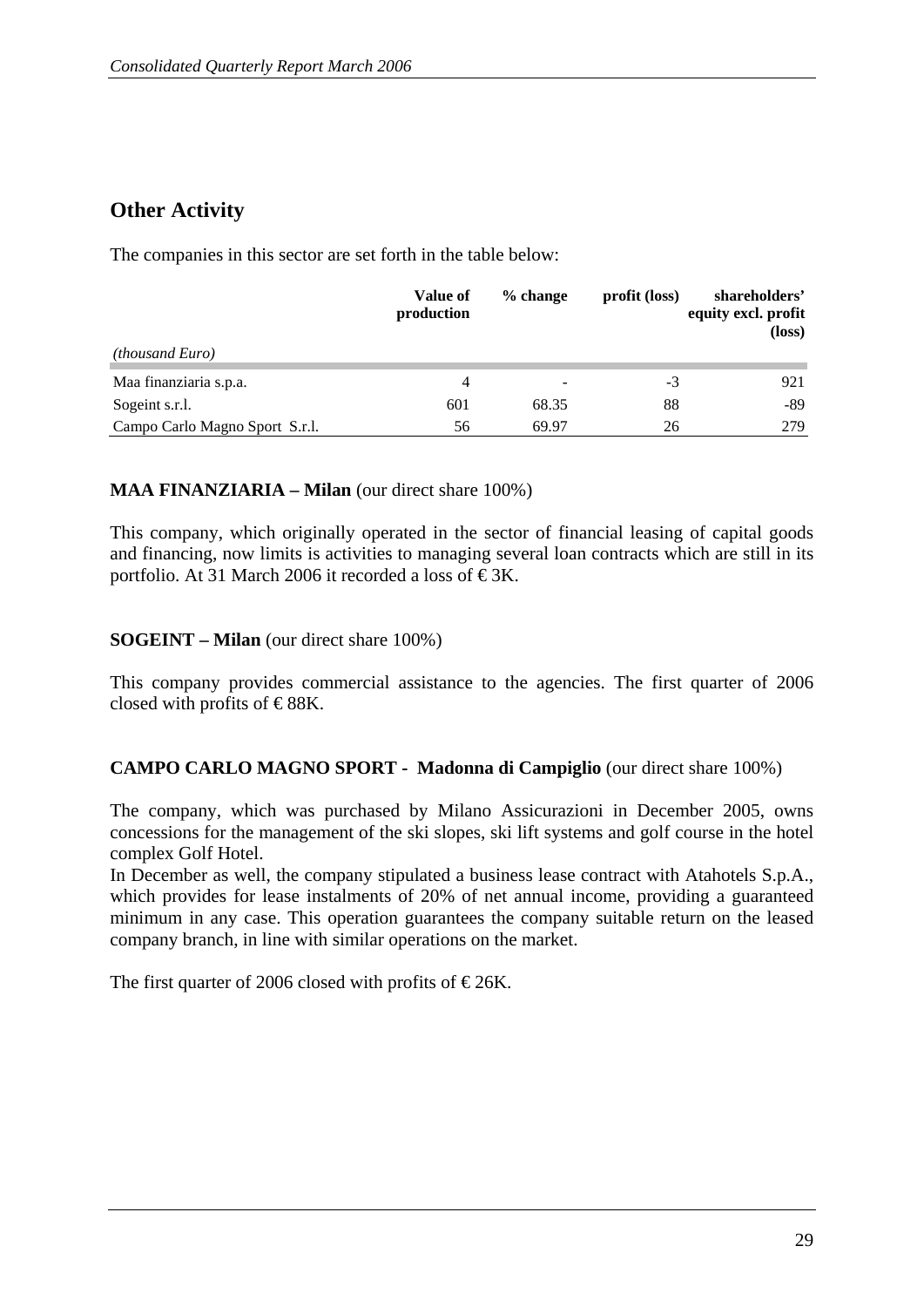## **Other Activity**

The companies in this sector are set forth in the table below:

|                                | Value of<br>production | $%$ change               | profit (loss) | shareholders'<br>equity excl. profit<br>(loss) |
|--------------------------------|------------------------|--------------------------|---------------|------------------------------------------------|
| <i>(thousand Euro)</i>         |                        |                          |               |                                                |
| Maa finanziaria s.p.a.         | 4                      | $\overline{\phantom{0}}$ | -3            | 921                                            |
| Sogeint s.r.l.                 | 601                    | 68.35                    | 88            | -89                                            |
| Campo Carlo Magno Sport S.r.l. | 56                     | 69.97                    | 26            | 279                                            |

#### **MAA FINANZIARIA – Milan** (our direct share 100%)

This company, which originally operated in the sector of financial leasing of capital goods and financing, now limits is activities to managing several loan contracts which are still in its portfolio. At 31 March 2006 it recorded a loss of  $\epsilon$ 3K.

#### **SOGEINT – Milan** (our direct share 100%)

This company provides commercial assistance to the agencies. The first quarter of 2006 closed with profits of  $\text{\textless}\,88\text{K}$ .

#### **CAMPO CARLO MAGNO SPORT - Madonna di Campiglio** (our direct share 100%)

The company, which was purchased by Milano Assicurazioni in December 2005, owns concessions for the management of the ski slopes, ski lift systems and golf course in the hotel complex Golf Hotel.

In December as well, the company stipulated a business lease contract with Atahotels S.p.A., which provides for lease instalments of 20% of net annual income, providing a guaranteed minimum in any case. This operation guarantees the company suitable return on the leased company branch, in line with similar operations on the market.

The first quarter of 2006 closed with profits of  $\in$ 26K.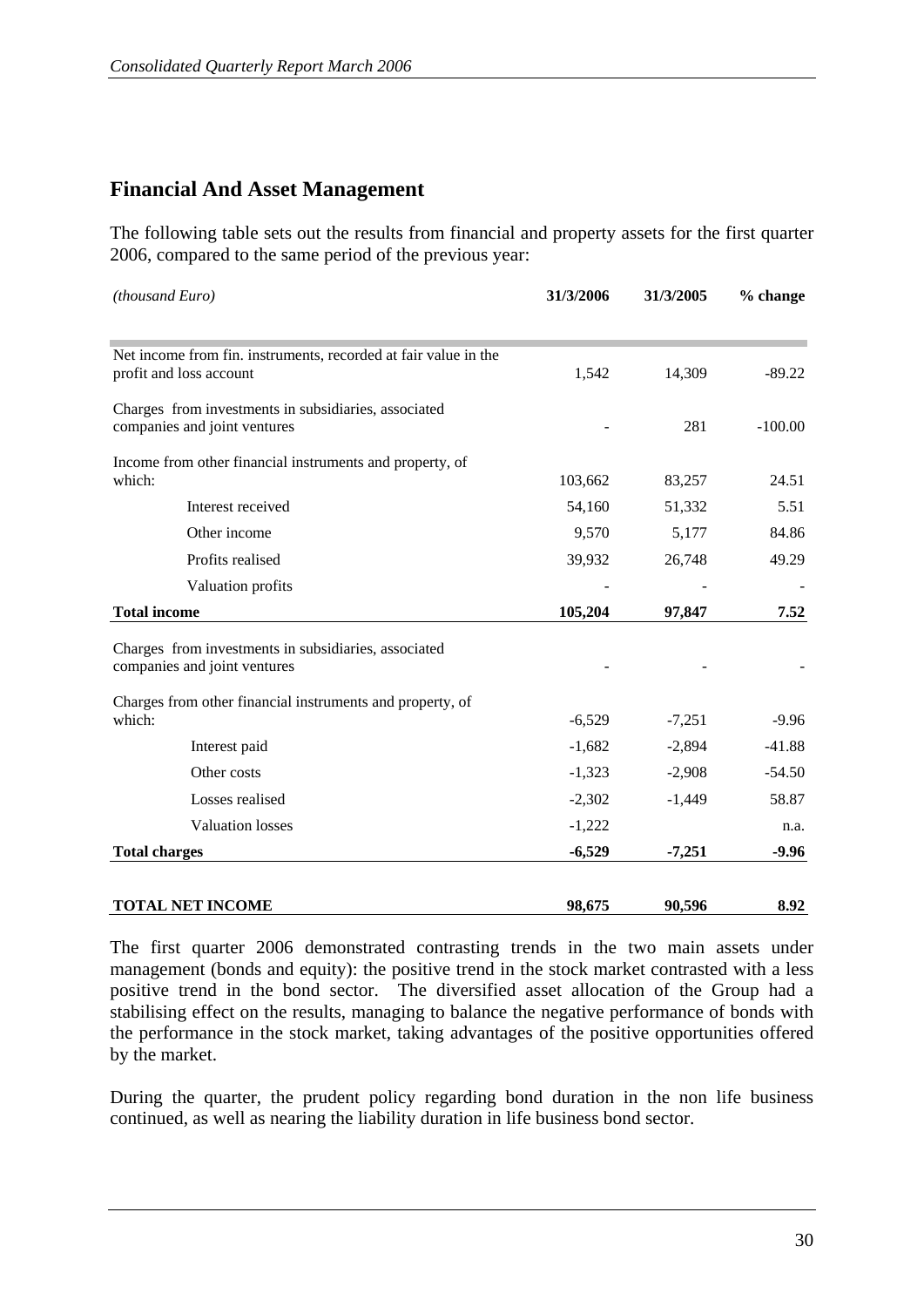## **Financial And Asset Management**

The following table sets out the results from financial and property assets for the first quarter 2006, compared to the same period of the previous year:

| (thousand Euro)                                                                      | 31/3/2006 | 31/3/2005 | % change  |  |
|--------------------------------------------------------------------------------------|-----------|-----------|-----------|--|
| Net income from fin. instruments, recorded at fair value in the                      |           |           |           |  |
| profit and loss account                                                              | 1,542     | 14,309    | $-89.22$  |  |
| Charges from investments in subsidiaries, associated                                 |           |           |           |  |
| companies and joint ventures                                                         |           | 281       | $-100.00$ |  |
| Income from other financial instruments and property, of                             |           |           |           |  |
| which:                                                                               | 103,662   | 83,257    | 24.51     |  |
| Interest received                                                                    | 54,160    | 51,332    | 5.51      |  |
| Other income                                                                         | 9,570     | 5,177     | 84.86     |  |
| Profits realised                                                                     | 39,932    | 26,748    | 49.29     |  |
| Valuation profits                                                                    |           |           |           |  |
| <b>Total income</b>                                                                  | 105,204   | 97,847    | 7.52      |  |
|                                                                                      |           |           |           |  |
| Charges from investments in subsidiaries, associated<br>companies and joint ventures |           |           |           |  |
| Charges from other financial instruments and property, of                            |           |           |           |  |
| which:                                                                               | $-6,529$  | $-7,251$  | $-9.96$   |  |
| Interest paid                                                                        | $-1,682$  | $-2,894$  | $-41.88$  |  |
| Other costs                                                                          | $-1,323$  | $-2,908$  | $-54.50$  |  |
| Losses realised                                                                      | $-2,302$  | $-1,449$  | 58.87     |  |
| <b>Valuation</b> losses                                                              | $-1,222$  |           | n.a.      |  |
| <b>Total charges</b>                                                                 | $-6,529$  | $-7,251$  | $-9.96$   |  |
|                                                                                      |           |           |           |  |
| <b>TOTAL NET INCOME</b>                                                              | 98,675    | 90,596    | 8.92      |  |

The first quarter 2006 demonstrated contrasting trends in the two main assets under management (bonds and equity): the positive trend in the stock market contrasted with a less positive trend in the bond sector. The diversified asset allocation of the Group had a stabilising effect on the results, managing to balance the negative performance of bonds with the performance in the stock market, taking advantages of the positive opportunities offered by the market.

During the quarter, the prudent policy regarding bond duration in the non life business continued, as well as nearing the liability duration in life business bond sector.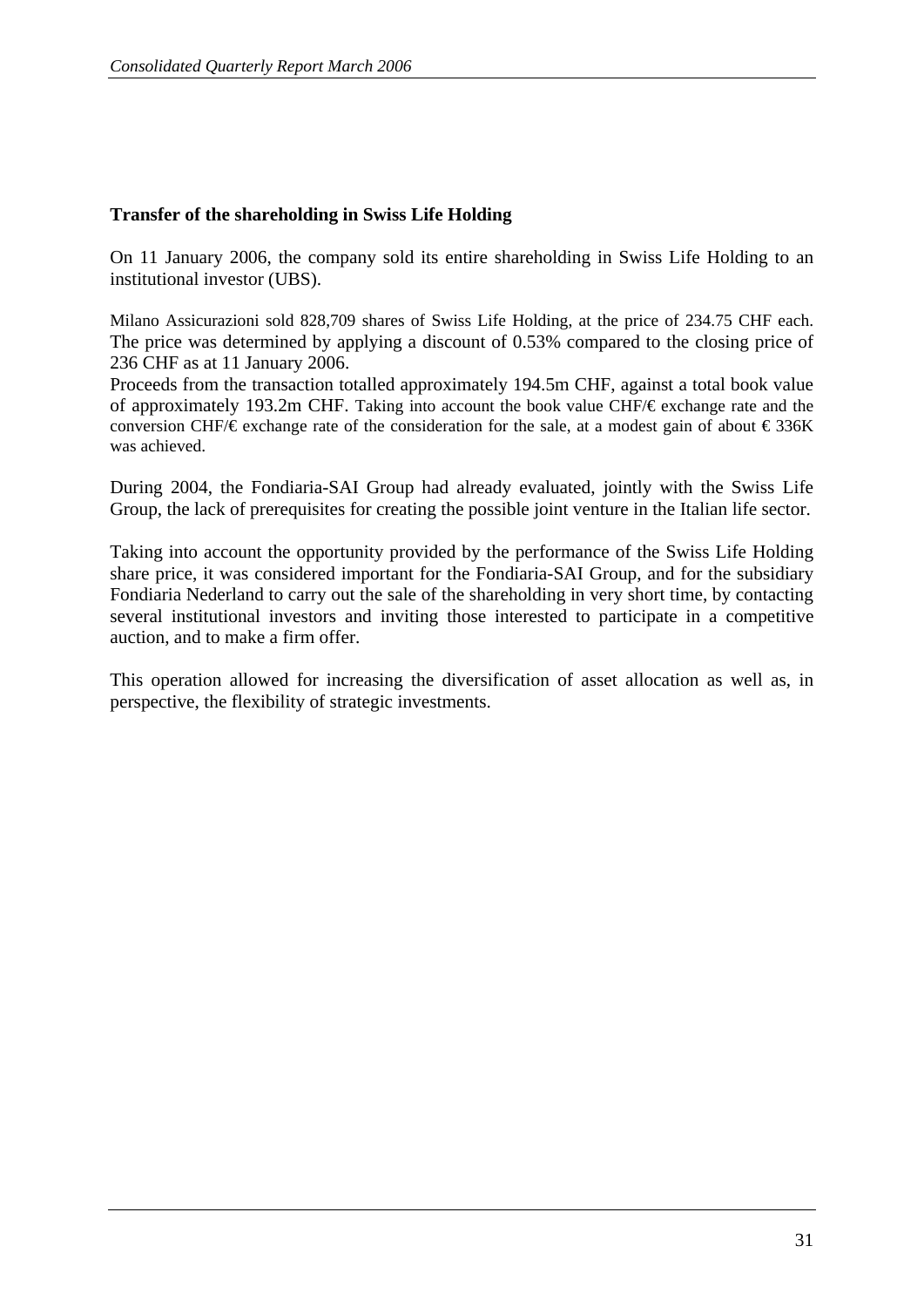#### **Transfer of the shareholding in Swiss Life Holding**

On 11 January 2006, the company sold its entire shareholding in Swiss Life Holding to an institutional investor (UBS).

Milano Assicurazioni sold 828,709 shares of Swiss Life Holding, at the price of 234.75 CHF each. The price was determined by applying a discount of 0.53% compared to the closing price of 236 CHF as at 11 January 2006.

Proceeds from the transaction totalled approximately 194.5m CHF, against a total book value of approximately 193.2m CHF. Taking into account the book value CHF/€ exchange rate and the conversion CHF/ $\epsilon$  exchange rate of the consideration for the sale, at a modest gain of about  $\epsilon$ 336K was achieved.

During 2004, the Fondiaria-SAI Group had already evaluated, jointly with the Swiss Life Group, the lack of prerequisites for creating the possible joint venture in the Italian life sector.

Taking into account the opportunity provided by the performance of the Swiss Life Holding share price, it was considered important for the Fondiaria-SAI Group, and for the subsidiary Fondiaria Nederland to carry out the sale of the shareholding in very short time, by contacting several institutional investors and inviting those interested to participate in a competitive auction, and to make a firm offer.

This operation allowed for increasing the diversification of asset allocation as well as, in perspective, the flexibility of strategic investments.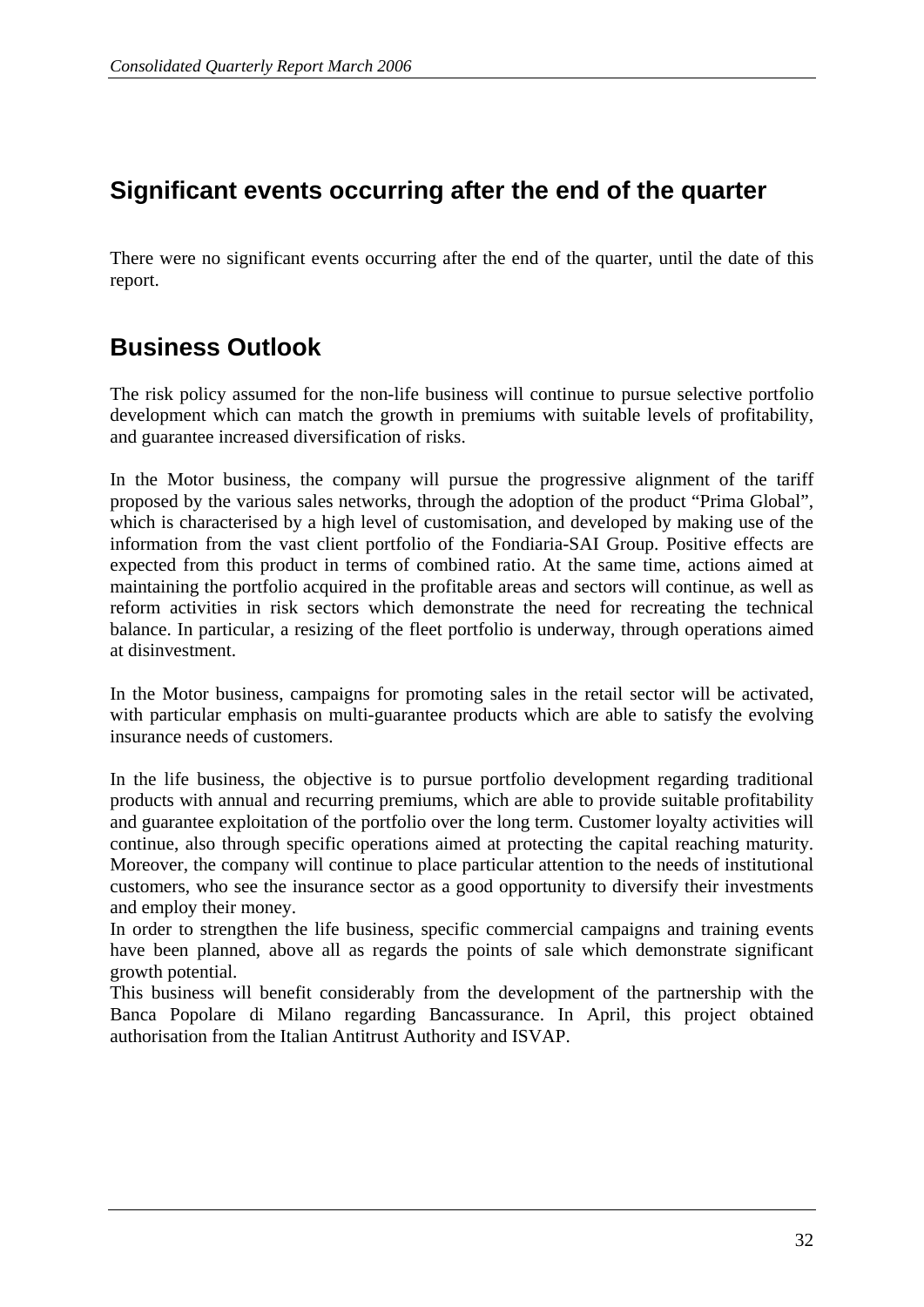# **Significant events occurring after the end of the quarter**

There were no significant events occurring after the end of the quarter, until the date of this report.

## **Business Outlook**

The risk policy assumed for the non-life business will continue to pursue selective portfolio development which can match the growth in premiums with suitable levels of profitability, and guarantee increased diversification of risks.

In the Motor business, the company will pursue the progressive alignment of the tariff proposed by the various sales networks, through the adoption of the product "Prima Global", which is characterised by a high level of customisation, and developed by making use of the information from the vast client portfolio of the Fondiaria-SAI Group. Positive effects are expected from this product in terms of combined ratio. At the same time, actions aimed at maintaining the portfolio acquired in the profitable areas and sectors will continue, as well as reform activities in risk sectors which demonstrate the need for recreating the technical balance. In particular, a resizing of the fleet portfolio is underway, through operations aimed at disinvestment.

In the Motor business, campaigns for promoting sales in the retail sector will be activated, with particular emphasis on multi-guarantee products which are able to satisfy the evolving insurance needs of customers.

In the life business, the objective is to pursue portfolio development regarding traditional products with annual and recurring premiums, which are able to provide suitable profitability and guarantee exploitation of the portfolio over the long term. Customer loyalty activities will continue, also through specific operations aimed at protecting the capital reaching maturity. Moreover, the company will continue to place particular attention to the needs of institutional customers, who see the insurance sector as a good opportunity to diversify their investments and employ their money.

In order to strengthen the life business, specific commercial campaigns and training events have been planned, above all as regards the points of sale which demonstrate significant growth potential.

This business will benefit considerably from the development of the partnership with the Banca Popolare di Milano regarding Bancassurance. In April, this project obtained authorisation from the Italian Antitrust Authority and ISVAP.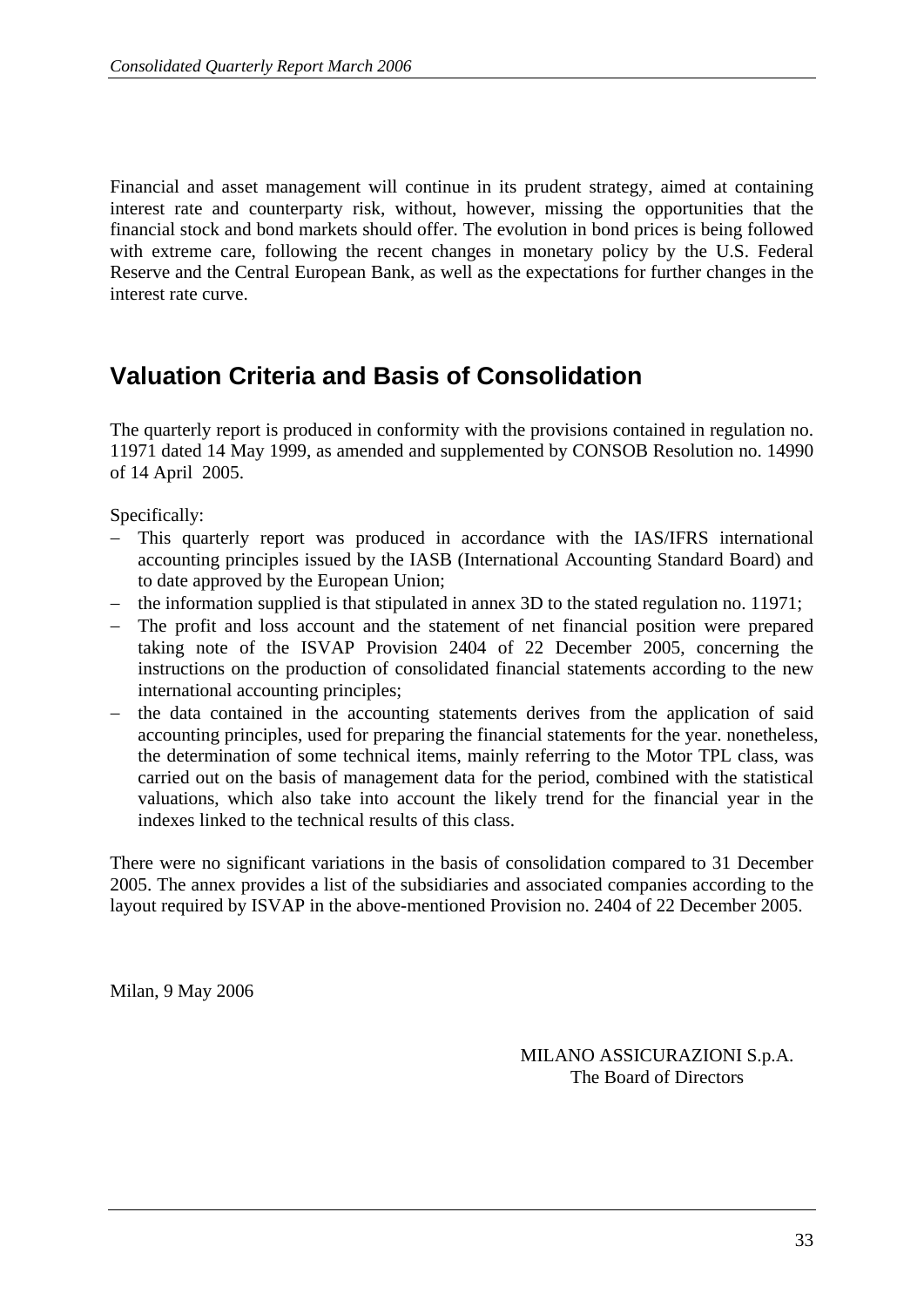Financial and asset management will continue in its prudent strategy, aimed at containing interest rate and counterparty risk, without, however, missing the opportunities that the financial stock and bond markets should offer. The evolution in bond prices is being followed with extreme care, following the recent changes in monetary policy by the U.S. Federal Reserve and the Central European Bank, as well as the expectations for further changes in the interest rate curve.

## **Valuation Criteria and Basis of Consolidation**

The quarterly report is produced in conformity with the provisions contained in regulation no. 11971 dated 14 May 1999, as amended and supplemented by CONSOB Resolution no. 14990 of 14 April 2005.

Specifically:

- This quarterly report was produced in accordance with the IAS/IFRS international accounting principles issued by the IASB (International Accounting Standard Board) and to date approved by the European Union;
- − the information supplied is that stipulated in annex 3D to the stated regulation no. 11971;
- − The profit and loss account and the statement of net financial position were prepared taking note of the ISVAP Provision 2404 of 22 December 2005, concerning the instructions on the production of consolidated financial statements according to the new international accounting principles;
- the data contained in the accounting statements derives from the application of said accounting principles, used for preparing the financial statements for the year. nonetheless, the determination of some technical items, mainly referring to the Motor TPL class, was carried out on the basis of management data for the period, combined with the statistical valuations, which also take into account the likely trend for the financial year in the indexes linked to the technical results of this class.

There were no significant variations in the basis of consolidation compared to 31 December 2005. The annex provides a list of the subsidiaries and associated companies according to the layout required by ISVAP in the above-mentioned Provision no. 2404 of 22 December 2005.

Milan, 9 May 2006

MILANO ASSICURAZIONI S.p.A. The Board of Directors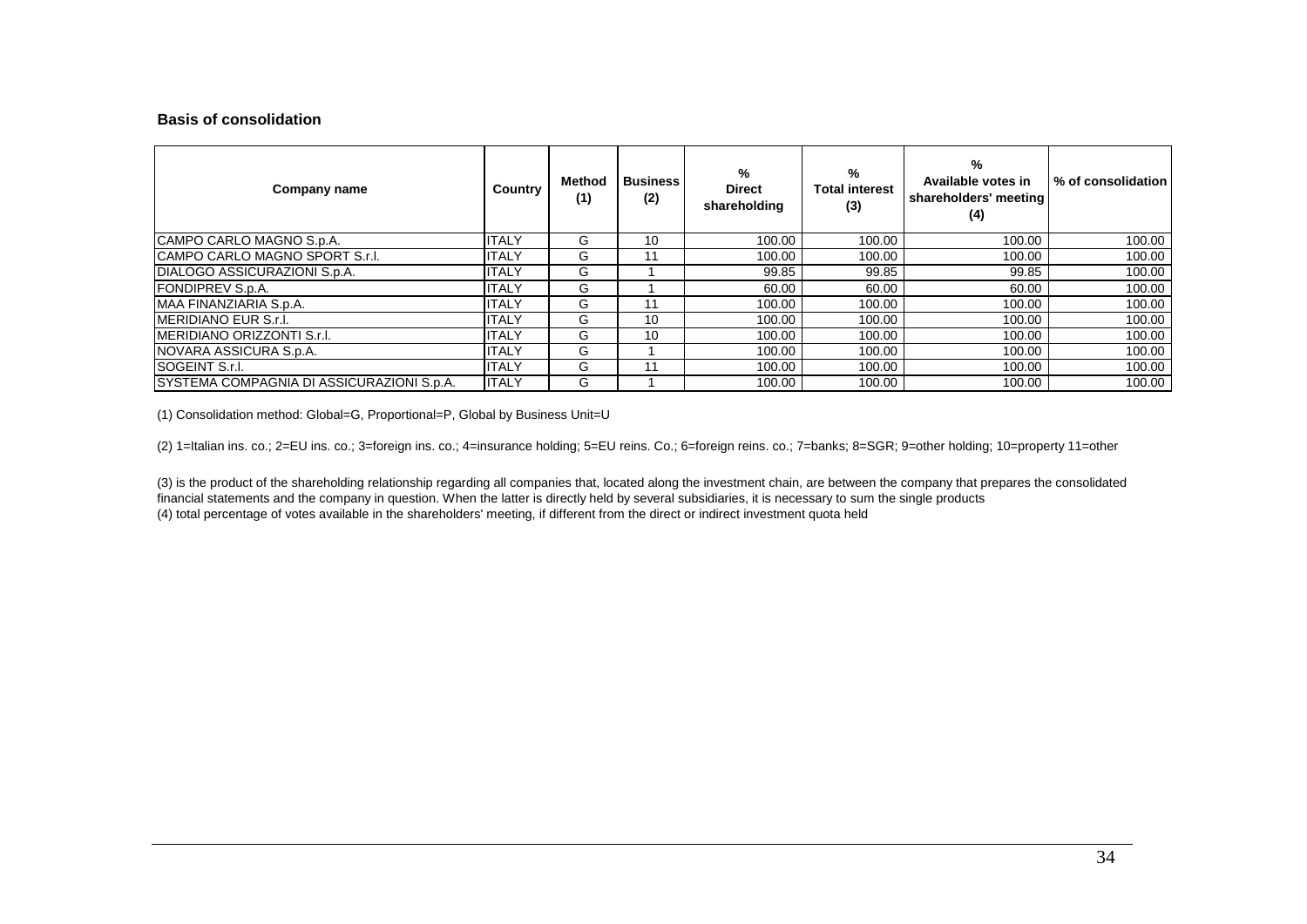#### **Basis of consolidation**

| Company name                                     | Country      | Method<br>(1) | <b>Business</b><br>(2) | %<br><b>Direct</b><br>shareholding | %<br><b>Total interest</b><br>(3) | %<br>Available votes in<br>shareholders' meeting<br>(4) | % of consolidation I |
|--------------------------------------------------|--------------|---------------|------------------------|------------------------------------|-----------------------------------|---------------------------------------------------------|----------------------|
| CAMPO CARLO MAGNO S.p.A.                         | <b>ITALY</b> | G             | 10                     | 100.00                             | 100.00                            | 100.00                                                  | 100.00               |
| <b>ICAMPO CARLO MAGNO SPORT S.r.I.</b>           | <b>ITALY</b> | G             | 11                     | 100.00                             | 100.00                            | 100.00                                                  | 100.00               |
| DIALOGO ASSICURAZIONI S.p.A.                     | <b>ITALY</b> | G             |                        | 99.85                              | 99.85                             | 99.85                                                   | 100.00               |
| <b>FONDIPREV S.p.A.</b>                          | <b>ITALY</b> | G             |                        | 60.00                              | 60.00                             | 60.00                                                   | 100.00               |
| MAA FINANZIARIA S.p.A.                           | <b>ITALY</b> | G             | 11                     | 100.00                             | 100.00                            | 100.00                                                  | 100.00               |
| <b>IMERIDIANO EUR S.r.I.</b>                     | <b>ITALY</b> | G             | 10                     | 100.00                             | 100.00                            | 100.00                                                  | 100.00               |
| <b>IMERIDIANO ORIZZONTI S.r.I.</b>               | <b>ITALY</b> | G             | 10                     | 100.00                             | 100.00                            | 100.00                                                  | 100.00               |
| NOVARA ASSICURA S.p.A.                           | <b>ITALY</b> | G             |                        | 100.00                             | 100.00                            | 100.00                                                  | 100.00               |
| SOGEINT S.r.l.                                   | <b>ITALY</b> | G             | 11                     | 100.00                             | 100.00                            | 100.00                                                  | 100.00               |
| <b>SYSTEMA COMPAGNIA DI ASSICURAZIONI S.p.A.</b> | <b>ITALY</b> | G             |                        | 100.00                             | 100.00                            | 100.00                                                  | 100.00               |

(1) Consolidation method: Global=G, Proportional=P, Global by Business Unit=U

(2) 1=Italian ins. co.; 2=EU ins. co.; 3=foreign ins. co.; 4=insurance holding; 5=EU reins. Co.; 6=foreign reins. co.; 7=banks; 8=SGR; 9=other holding; 10=property 11=other

(4) total percentage of votes available in the shareholders' meeting, if different from the direct or indirect investment quota held (3) is the product of the shareholding relationship regarding all companies that, located along the investment chain, are between the company that prepares the consolidated financial statements and the company in question. When the latter is directly held by several subsidiaries, it is necessary to sum the single products